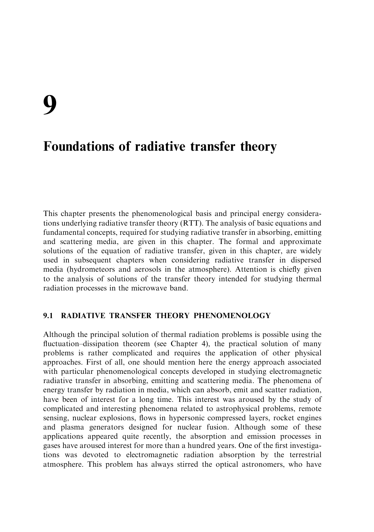This chapter presents the phenomenological basis and principal energy considerations underlying radiative transfer theory (RTT). The analysis of basic equations and fundamental concepts, required for studying radiative transfer in absorbing, emitting and scattering media, are given in this chapter. The formal and approximate solutions of the equation of radiative transfer, given in this chapter, are widely used in subsequent chapters when considering radiative transfer in dispersed media (hydrometeors and aerosols in the atmosphere). Attention is chiefly given to the analysis of solutions of the transfer theory intended for studying thermal radiation processes in the microwave band.

#### $9.1$ **RADIATIVE TRANSFER THEORY PHENOMENOLOGY**

Although the principal solution of thermal radiation problems is possible using the fluctuation-dissipation theorem (see Chapter 4), the practical solution of many problems is rather complicated and requires the application of other physical approaches. First of all, one should mention here the energy approach associated with particular phenomenological concepts developed in studying electromagnetic radiative transfer in absorbing, emitting and scattering media. The phenomena of energy transfer by radiation in media, which can absorb, emit and scatter radiation, have been of interest for a long time. This interest was aroused by the study of complicated and interesting phenomena related to astrophysical problems, remote sensing, nuclear explosions, flows in hypersonic compressed layers, rocket engines and plasma generators designed for nuclear fusion. Although some of these applications appeared quite recently, the absorption and emission processes in gases have aroused interest for more than a hundred years. One of the first investigations was devoted to electromagnetic radiation absorption by the terrestrial atmosphere. This problem has always stirred the optical astronomers, who have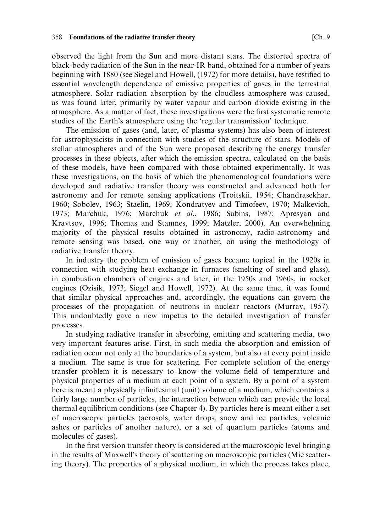observed the light from the Sun and more distant stars. The distorted spectra of black-body radiation of the Sun in the near-IR band, obtained for a number of years beginning with 1880 (see Siegel and Howell, (1972) for more details), have testified to essential wavelength dependence of emissive properties of gases in the terrestrial atmosphere. Solar radiation absorption by the cloudless atmosphere was caused, as was found later, primarily by water vapour and carbon dioxide existing in the atmosphere. As a matter of fact, these investigations were the first systematic remote studies of the Earth's atmosphere using the 'regular transmission' technique.

The emission of gases (and, later, of plasma systems) has also been of interest for astrophysicists in connection with studies of the structure of stars. Models of stellar atmospheres and of the Sun were proposed describing the energy transfer processes in these objects, after which the emission spectra, calculated on the basis of these models, have been compared with those obtained experimentally. It was these investigations, on the basis of which the phenomenological foundations were developed and radiative transfer theory was constructed and advanced both for astronomy and for remote sensing applications (Troitskii, 1954; Chandrasekhar, 1960; Sobolev, 1963; Staelin, 1969; Kondratyev and Timofeev, 1970; Malkevich, 1973; Marchuk, 1976; Marchuk et al., 1986; Sabins, 1987; Apresyan and Kravtsov, 1996; Thomas and Stamnes, 1999; Matzler, 2000). An overwhelming majority of the physical results obtained in astronomy, radio-astronomy and remote sensing was based, one way or another, on using the methodology of radiative transfer theory.

In industry the problem of emission of gases became topical in the 1920s in connection with studying heat exchange in furnaces (smelting of steel and glass), in combustion chambers of engines and later, in the 1950s and 1960s, in rocket engines (Ozisik, 1973; Siegel and Howell, 1972). At the same time, it was found that similar physical approaches and, accordingly, the equations can govern the processes of the propagation of neutrons in nuclear reactors (Murray, 1957). This undoubtedly gave a new impetus to the detailed investigation of transfer processes.

In studying radiative transfer in absorbing, emitting and scattering media, two very important features arise. First, in such media the absorption and emission of radiation occur not only at the boundaries of a system, but also at every point inside a medium. The same is true for scattering. For complete solution of the energy transfer problem it is necessary to know the volume field of temperature and physical properties of a medium at each point of a system. By a point of a system here is meant a physically infinitesimal (unit) volume of a medium, which contains a fairly large number of particles, the interaction between which can provide the local thermal equilibrium conditions (see Chapter 4). By particles here is meant either a set of macroscopic particles (aerosols, water drops, snow and ice particles, volcanic ashes or particles of another nature), or a set of quantum particles (atoms and molecules of gases).

In the first version transfer theory is considered at the macroscopic level bringing in the results of Maxwell's theory of scattering on macroscopic particles (Mie scattering theory). The properties of a physical medium, in which the process takes place,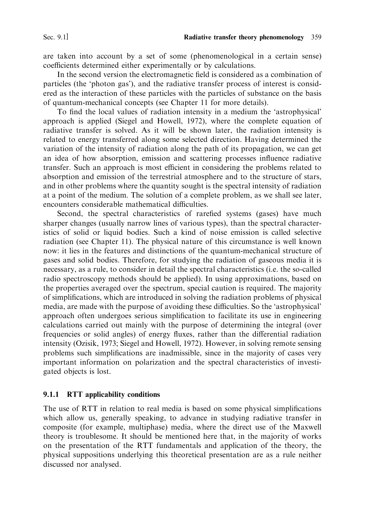are taken into account by a set of some (phenomenological in a certain sense) coefficients determined either experimentally or by calculations.

In the second version the electromagnetic field is considered as a combination of particles (the 'photon gas'), and the radiative transfer process of interest is considered as the interaction of these particles with the particles of substance on the basis of quantum-mechanical concepts (see Chapter 11 for more details).

To find the local values of radiation intensity in a medium the 'astrophysical' approach is applied (Siegel and Howell, 1972), where the complete equation of radiative transfer is solved. As it will be shown later, the radiation intensity is related to energy transferred along some selected direction. Having determined the variation of the intensity of radiation along the path of its propagation, we can get an idea of how absorption, emission and scattering processes influence radiative transfer. Such an approach is most efficient in considering the problems related to absorption and emission of the terrestrial atmosphere and to the structure of stars. and in other problems where the quantity sought is the spectral intensity of radiation at a point of the medium. The solution of a complete problem, as we shall see later, encounters considerable mathematical difficulties.

Second, the spectral characteristics of rarefied systems (gases) have much sharper changes (usually narrow lines of various types), than the spectral characteristics of solid or liquid bodies. Such a kind of noise emission is called selective radiation (see Chapter 11). The physical nature of this circumstance is well known now: it lies in the features and distinctions of the quantum-mechanical structure of gases and solid bodies. Therefore, for studying the radiation of gaseous media it is necessary, as a rule, to consider in detail the spectral characteristics (*i.e.* the so-called radio spectroscopy methods should be applied). In using approximations, based on the properties averaged over the spectrum, special caution is required. The majority of simplifications, which are introduced in solving the radiation problems of physical media, are made with the purpose of avoiding these difficulties. So the 'astrophysical' approach often undergoes serious simplification to facilitate its use in engineering calculations carried out mainly with the purpose of determining the integral (over frequencies or solid angles) of energy fluxes, rather than the differential radiation intensity (Ozisik, 1973; Siegel and Howell, 1972). However, in solving remote sensing problems such simplifications are inadmissible, since in the majority of cases very important information on polarization and the spectral characteristics of investigated objects is lost.

### 9.1.1 RTT applicability conditions

The use of RTT in relation to real media is based on some physical simplifications which allow us, generally speaking, to advance in studying radiative transfer in composite (for example, multiphase) media, where the direct use of the Maxwell theory is troublesome. It should be mentioned here that, in the majority of works on the presentation of the RTT fundamentals and application of the theory, the physical suppositions underlying this theoretical presentation are as a rule neither discussed nor analysed.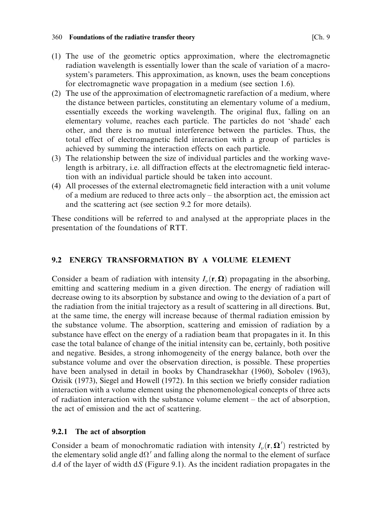- (1) The use of the geometric optics approximation, where the electromagnetic radiation wavelength is essentially lower than the scale of variation of a macrosystem's parameters. This approximation, as known, uses the beam conceptions for electromagnetic wave propagation in a medium (see section 1.6).
- (2) The use of the approximation of electromagnetic rarefaction of a medium, where the distance between particles, constituting an elementary volume of a medium, essentially exceeds the working wavelength. The original flux, falling on an elementary volume, reaches each particle. The particles do not 'shade' each other, and there is no mutual interference between the particles. Thus, the total effect of electromagnetic field interaction with a group of particles is achieved by summing the interaction effects on each particle.
- (3) The relationship between the size of individual particles and the working wavelength is arbitrary, i.e. all diffraction effects at the electromagnetic field interaction with an individual particle should be taken into account.
- (4) All processes of the external electromagnetic field interaction with a unit volume of a medium are reduced to three acts only  $-$  the absorption act, the emission act and the scattering act (see section 9.2 for more details).

These conditions will be referred to and analysed at the appropriate places in the presentation of the foundations of RTT.

#### **ENERGY TRANSFORMATION BY A VOLUME ELEMENT**  $9.2$

Consider a beam of radiation with intensity  $I_{\nu}(\mathbf{r}, \Omega)$  propagating in the absorbing, emitting and scattering medium in a given direction. The energy of radiation will decrease owing to its absorption by substance and owing to the deviation of a part of the radiation from the initial trajectory as a result of scattering in all directions. But, at the same time, the energy will increase because of thermal radiation emission by the substance volume. The absorption, scattering and emission of radiation by a substance have effect on the energy of a radiation beam that propagates in it. In this case the total balance of change of the initial intensity can be, certainly, both positive and negative. Besides, a strong inhomogeneity of the energy balance, both over the substance volume and over the observation direction, is possible. These properties have been analysed in detail in books by Chandrasekhar (1960), Sobolev (1963), Ozisik (1973), Siegel and Howell (1972). In this section we briefly consider radiation interaction with a volume element using the phenomenological concepts of three acts of radiation interaction with the substance volume element – the act of absorption, the act of emission and the act of scattering.

#### 9.2.1 The act of absorption

Consider a beam of monochromatic radiation with intensity  $I_{\nu}(\mathbf{r}, \mathbf{\Omega}')$  restricted by the elementary solid angle  $d\Omega'$  and falling along the normal to the element of surface  $dA$  of the layer of width  $dS$  (Figure 9.1). As the incident radiation propagates in the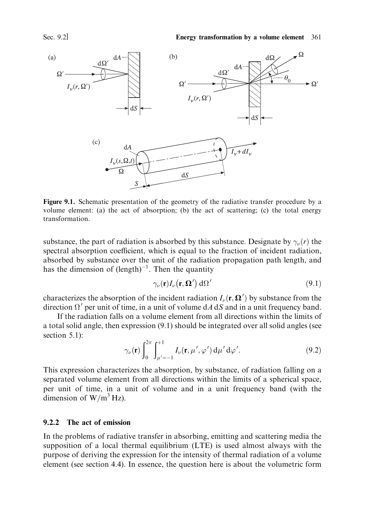

Figure 9.1. Schematic presentation of the geometry of the radiative transfer procedure by a volume element: (a) the act of absorption: (b) the act of scattering: (c) the total energy transformation

substance, the part of radiation is absorbed by this substance. Designate by  $\gamma_{\nu}(r)$  the spectral absorption coefficient, which is equal to the fraction of incident radiation, absorbed by substance over the unit of the radiation propagation path length, and has the dimension of  $(length)^{-1}$ . Then the quantity

$$
\gamma_{\nu}(\mathbf{r})I_{\nu}(\mathbf{r},\mathbf{\Omega}') \,\mathrm{d}\Omega' \tag{9.1}
$$

characterizes the absorption of the incident radiation  $I_{\nu}(\mathbf{r}, \mathbf{\Omega}')$  by substance from the direction  $\Omega'$  per unit of time, in a unit of volume dA dS and in a unit frequency band.

If the radiation falls on a volume element from all directions within the limits of a total solid angle, then expression (9.1) should be integrated over all solid angles (see section  $5.1$ :

$$
\gamma_{\nu}(\mathbf{r})\int_{0}^{2\pi}\int_{\mu'=-1}^{+1}I_{\nu}(\mathbf{r},\mu',\varphi')\,\mathrm{d}\mu'\,\mathrm{d}\varphi'.\tag{9.2}
$$

This expression characterizes the absorption, by substance, of radiation falling on a separated volume element from all directions within the limits of a spherical space, per unit of time, in a unit of volume and in a unit frequency band (with the dimension of  $W/m^3$  Hz).

### 9.2.2 The act of emission

In the problems of radiative transfer in absorbing, emitting and scattering media the supposition of a local thermal equilibrium (LTE) is used almost always with the purpose of deriving the expression for the intensity of thermal radiation of a volume element (see section 4.4). In essence, the question here is about the volumetric form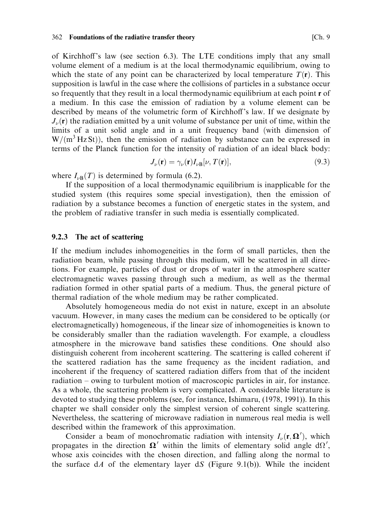of Kirchhoff's law (see section 6.3). The LTE conditions imply that any small volume element of a medium is at the local thermodynamic equilibrium, owing to which the state of any point can be characterized by local temperature  $T(\bf{r})$ . This supposition is lawful in the case where the collisions of particles in a substance occur so frequently that they result in a local thermodynamic equilibrium at each point r of a medium. In this case the emission of radiation by a volume element can be described by means of the volumetric form of Kirchhoff's law. If we designate by  $J_{\nu}(\mathbf{r})$  the radiation emitted by a unit volume of substance per unit of time, within the limits of a unit solid angle and in a unit frequency band (with dimension of  $W/(m^3 Hz St)$ , then the emission of radiation by substance can be expressed in terms of the Planck function for the intensity of radiation of an ideal black body:

$$
J_{\nu}(\mathbf{r}) = \gamma_{\nu}(\mathbf{r}) I_{\nu} \mathbf{B}[\nu, T(\mathbf{r})], \qquad (9.3)
$$

where  $I_{\nu B}(T)$  is determined by formula (6.2).

If the supposition of a local thermodynamic equilibrium is inapplicable for the studied system (this requires some special investigation), then the emission of radiation by a substance becomes a function of energetic states in the system, and the problem of radiative transfer in such media is essentially complicated.

### 9.2.3 The act of scattering

If the medium includes inhomogeneities in the form of small particles, then the radiation beam, while passing through this medium, will be scattered in all directions. For example, particles of dust or drops of water in the atmosphere scatter electromagnetic waves passing through such a medium, as well as the thermal radiation formed in other spatial parts of a medium. Thus, the general picture of thermal radiation of the whole medium may be rather complicated.

Absolutely homogeneous media do not exist in nature, except in an absolute vacuum. However, in many cases the medium can be considered to be optically (or electromagnetically) homogeneous, if the linear size of inhomogeneities is known to be considerably smaller than the radiation wavelength. For example, a cloudless atmosphere in the microwave band satisfies these conditions. One should also distinguish coherent from incoherent scattering. The scattering is called coherent if the scattered radiation has the same frequency as the incident radiation, and incoherent if the frequency of scattered radiation differs from that of the incident radiation – owing to turbulent motion of macroscopic particles in air, for instance. As a whole, the scattering problem is very complicated. A considerable literature is devoted to studying these problems (see, for instance, Ishimaru, (1978, 1991)). In this chapter we shall consider only the simplest version of coherent single scattering. Nevertheless, the scattering of microwave radiation in numerous real media is well described within the framework of this approximation.

Consider a beam of monochromatic radiation with intensity  $I_{\nu}(\mathbf{r}, \mathbf{\Omega}')$ , which propagates in the direction  $\Omega'$  within the limits of elementary solid angle d $\Omega'$ , whose axis coincides with the chosen direction, and falling along the normal to the surface  $dA$  of the elementary layer  $dS$  (Figure 9.1(b)). While the incident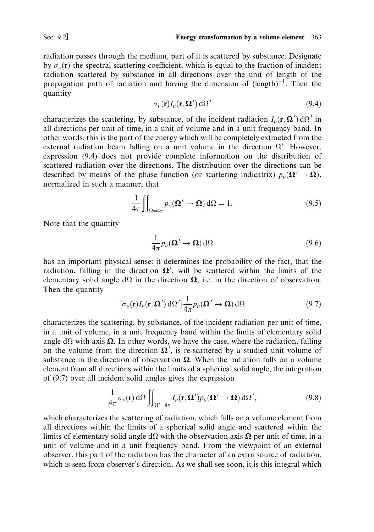radiation passes through the medium, part of it is scattered by substance. Designate by  $\sigma_{\nu}(\mathbf{r})$  the spectral scattering coefficient, which is equal to the fraction of incident radiation scattered by substance in all directions over the unit of length of the propagation path of radiation and having the dimension of  $(\text{length})^{-1}$ . Then the quantity

$$
\sigma_{\nu}(\mathbf{r})I_{\nu}(\mathbf{r},\mathbf{\Omega}') \,\mathrm{d}\Omega' \tag{9.4}
$$

characterizes the scattering, by substance, of the incident radiation  $I_{\nu}(\mathbf{r}, \mathbf{\Omega}') d\Omega'$  in all directions per unit of time, in a unit of volume and in a unit frequency band. In other words, this is the part of the energy which will be completely extracted from the external radiation beam falling on a unit volume in the direction  $\Omega'$ . However, expression (9.4) does not provide complete information on the distribution of scattered radiation over the directions. The distribution over the directions can be described by means of the phase function (or scattering indicatrix)  $p_{\nu}(\mathbf{\Omega}' \to \mathbf{\Omega})$ , normalized in such a manner, that

$$
\frac{1}{4\pi} \iint_{\Omega = 4\pi} p_{\nu}(\mathbf{\Omega}' \to \mathbf{\Omega}) \, d\Omega = 1.
$$
 (9.5)

Note that the quantity

$$
\frac{1}{4\pi}p_{\nu}(\mathbf{\Omega}' \to \mathbf{\Omega})\,\mathrm{d}\Omega\tag{9.6}
$$

has an important physical sense: it determines the probability of the fact, that the radiation, falling in the direction  $\Omega'$ , will be scattered within the limits of the elementary solid angle  $d\Omega$  in the direction  $\Omega$ , i.e. in the direction of observation. Then the quantity

$$
[\sigma_{\nu}(\mathbf{r})I_{\nu}(\mathbf{r},\mathbf{\Omega}') d\Omega'] \frac{1}{4\pi} p_{\nu}(\mathbf{\Omega}' \to \mathbf{\Omega}) d\Omega
$$
 (9.7)

characterizes the scattering, by substance, of the incident radiation per unit of time, in a unit of volume, in a unit frequency band within the limits of elementary solid angle d $\Omega$  with axis  $\Omega$ . In other words, we have the case, where the radiation, falling on the volume from the direction  $\Omega'$ , is re-scattered by a studied unit volume of substance in the direction of observation  $\Omega$ . When the radiation falls on a volume element from all directions within the limits of a spherical solid angle, the integration of (9.7) over all incident solid angles gives the expression

$$
\frac{1}{4\pi}\sigma_{\nu}(\mathbf{r}) d\Omega \iint_{\Omega' = 4\pi} I_{\nu}(\mathbf{r}, \mathbf{\Omega}') p_{\nu}(\mathbf{\Omega}' \to \mathbf{\Omega}) d\Omega', \tag{9.8}
$$

which characterizes the scattering of radiation, which falls on a volume element from all directions within the limits of a spherical solid angle and scattered within the limits of elementary solid angle  $d\Omega$  with the observation axis  $\Omega$  per unit of time, in a unit of volume and in a unit frequency band. From the viewpoint of an external observer, this part of the radiation has the character of an extra source of radiation, which is seen from observer's direction. As we shall see soon, it is this integral which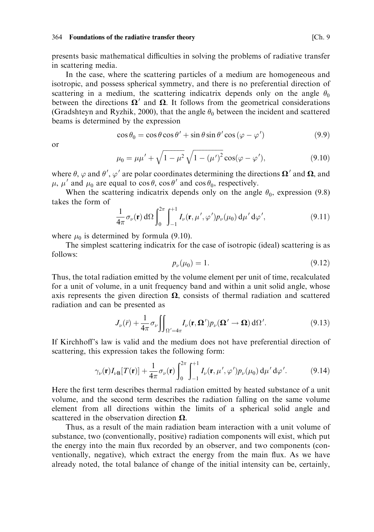presents basic mathematical difficulties in solving the problems of radiative transfer in scattering media.

In the case, where the scattering particles of a medium are homogeneous and isotropic, and possess spherical symmetry, and there is no preferential direction of scattering in a medium, the scattering indicatrix depends only on the angle  $\theta_0$ between the directions  $\Omega'$  and  $\Omega$ . It follows from the geometrical considerations (Gradshteyn and Ryzhik, 2000), that the angle  $\theta_0$  between the incident and scattered beams is determined by the expression

$$
\cos \theta_0 = \cos \theta \cos \theta' + \sin \theta \sin \theta' \cos (\varphi - \varphi') \tag{9.9}
$$

 $\alpha$ r

$$
\mu_0 = \mu \mu' + \sqrt{1 - \mu^2} \sqrt{1 - (\mu')^2} \cos(\varphi - \varphi'), \tag{9.10}
$$

where  $\theta$ ,  $\varphi$  and  $\theta'$ ,  $\varphi'$  are polar coordinates determining the directions  $\Omega'$  and  $\Omega$ , and  $\mu$ ,  $\mu'$  and  $\mu_0$  are equal to cos  $\theta$ , cos  $\theta'$  and cos  $\theta_0$ , respectively.

When the scattering indicatrix depends only on the angle  $\theta_0$ , expression (9.8) takes the form of

$$
\frac{1}{4\pi}\sigma_{\nu}(\mathbf{r}) d\Omega \int_0^{2\pi} \int_{-1}^{+1} I_{\nu}(\mathbf{r}, \mu', \varphi') p_{\nu}(\mu_0) d\mu' d\varphi', \qquad (9.11)
$$

where  $\mu_0$  is determined by formula (9.10).

The simplest scattering indicatrix for the case of isotropic (ideal) scattering is as  $follows$ 

$$
p_{\nu}(\mu_0) = 1. \tag{9.12}
$$

Thus, the total radiation emitted by the volume element per unit of time, recalculated for a unit of volume, in a unit frequency band and within a unit solid angle, whose axis represents the given direction  $\Omega$ , consists of thermal radiation and scattered radiation and can be presented as

$$
J_{\nu}(\bar{r}) + \frac{1}{4\pi} \sigma_{\nu} \iint_{\Omega' = 4\pi} I_{\nu}(\mathbf{r}, \mathbf{\Omega}') p_{\nu}(\mathbf{\Omega}' \to \mathbf{\Omega}) \, d\Omega'.
$$
 (9.13)

If Kirchhoff's law is valid and the medium does not have preferential direction of scattering, this expression takes the following form:

$$
\gamma_{\nu}(\mathbf{r})I_{\nu\mathbf{B}}[T(\mathbf{r})] + \frac{1}{4\pi}\sigma_{\nu}(\mathbf{r})\int_{0}^{2\pi}\int_{-1}^{+1}I_{\nu}(\mathbf{r},\mu',\varphi')p_{\nu}(\mu_{0})\,d\mu'\,d\varphi'.\tag{9.14}
$$

Here the first term describes thermal radiation emitted by heated substance of a unit volume, and the second term describes the radiation falling on the same volume element from all directions within the limits of a spherical solid angle and scattered in the observation direction  $\Omega$ .

Thus, as a result of the main radiation beam interaction with a unit volume of substance, two (conventionally, positive) radiation components will exist, which put the energy into the main flux recorded by an observer, and two components (conventionally, negative), which extract the energy from the main flux. As we have already noted, the total balance of change of the initial intensity can be, certainly,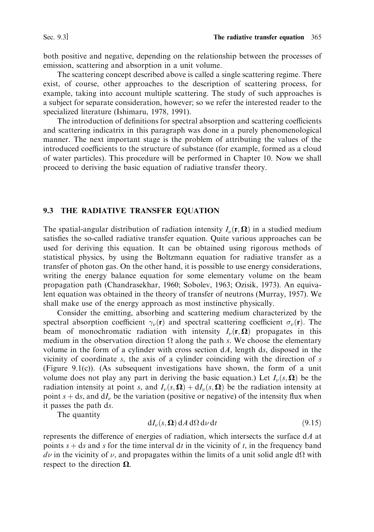both positive and negative, depending on the relationship between the processes of emission, scattering and absorption in a unit volume.

The scattering concept described above is called a single scattering regime. There exist, of course, other approaches to the description of scattering process, for example, taking into account multiple scattering. The study of such approaches is a subject for separate consideration, however; so we refer the interested reader to the specialized literature (Ishimaru, 1978, 1991).

The introduction of definitions for spectral absorption and scattering coefficients and scattering indicatrix in this paragraph was done in a purely phenomenological manner. The next important stage is the problem of attributing the values of the introduced coefficients to the structure of substance (for example, formed as a cloud of water particles). This procedure will be performed in Chapter 10. Now we shall proceed to deriving the basic equation of radiative transfer theory.

### 9.3 THE RADIATIVE TRANSFER EQUATION

The spatial-angular distribution of radiation intensity  $I_{\nu}(\mathbf{r}, \Omega)$  in a studied medium satisfies the so-called radiative transfer equation. Quite various approaches can be used for deriving this equation. It can be obtained using rigorous methods of statistical physics, by using the Boltzmann equation for radiative transfer as a transfer of photon gas. On the other hand, it is possible to use energy considerations, writing the energy balance equation for some elementary volume on the beam propagation path (Chandrasekhar, 1960; Sobolev, 1963; Ozisik, 1973). An equivalent equation was obtained in the theory of transfer of neutrons (Murray, 1957). We shall make use of the energy approach as most instinctive physically.

Consider the emitting, absorbing and scattering medium characterized by the spectral absorption coefficient  $\gamma_{\nu}(\mathbf{r})$  and spectral scattering coefficient  $\sigma_{\nu}(\mathbf{r})$ . The beam of monochromatic radiation with intensity  $I_{\nu}(\mathbf{r}, \mathbf{\Omega})$  propagates in this medium in the observation direction  $\Omega$  along the path s. We choose the elementary volume in the form of a cylinder with cross section  $dA$ , length ds, disposed in the vicinity of coordinate  $s$ , the axis of a cylinder coinciding with the direction of  $s$ (Figure 9.1(c)). (As subsequent investigations have shown, the form of a unit volume does not play any part in deriving the basic equation.) Let  $I_{\nu}(s, \Omega)$  be the radiation intensity at point s, and  $I_{\nu}(s, \Omega) + dI_{\nu}(s, \Omega)$  be the radiation intensity at point  $s + ds$ , and  $dI_{\nu}$  be the variation (positive or negative) of the intensity flux when it passes the path ds.

The quantity

$$
dI_{\nu}(s,\Omega) dA d\Omega d\nu dt \qquad (9.15)
$$

represents the difference of energies of radiation, which intersects the surface  $dA$  at points  $s + ds$  and s for the time interval dt in the vicinity of t, in the frequency band  $d\nu$  in the vicinity of  $\nu$ , and propagates within the limits of a unit solid angle d $\Omega$  with respect to the direction  $\Omega$ .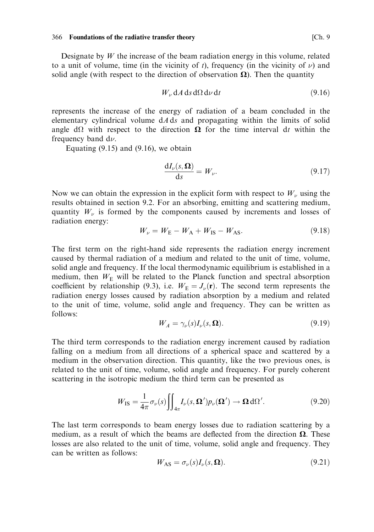Designate by  $W$  the increase of the beam radiation energy in this volume, related to a unit of volume, time (in the vicinity of t), frequency (in the vicinity of  $\nu$ ) and solid angle (with respect to the direction of observation  $\Omega$ ). Then the quantity

$$
W_{\nu} \, dA \, ds \, d\Omega \, d\nu \, dt \tag{9.16}
$$

represents the increase of the energy of radiation of a beam concluded in the elementary cylindrical volume  $dA ds$  and propagating within the limits of solid angle  $d\Omega$  with respect to the direction  $\Omega$  for the time interval dt within the frequency band  $d\nu$ .

Equating  $(9.15)$  and  $(9.16)$ , we obtain

$$
\frac{\mathrm{d}I_{\nu}(s,\Omega)}{\mathrm{d}s} = W_{\nu}.\tag{9.17}
$$

Now we can obtain the expression in the explicit form with respect to  $W_{\nu}$  using the results obtained in section 9.2. For an absorbing, emitting and scattering medium, quantity  $W_{\nu}$  is formed by the components caused by increments and losses of radiation energy:

$$
W_{\nu} = W_{\rm E} - W_{\rm A} + W_{\rm IS} - W_{\rm AS}.
$$
\n(9.18)

The first term on the right-hand side represents the radiation energy increment caused by thermal radiation of a medium and related to the unit of time, volume, solid angle and frequency. If the local thermodynamic equilibrium is established in a medium, then  $W_{\rm E}$  will be related to the Planck function and spectral absorption coefficient by relationship (9.3), i.e.  $W_{\rm E} = J_{\nu}({\bf r})$ . The second term represents the radiation energy losses caused by radiation absorption by a medium and related to the unit of time, volume, solid angle and frequency. They can be written as follows:

$$
W_A = \gamma_\nu(s) I_\nu(s, \Omega). \tag{9.19}
$$

The third term corresponds to the radiation energy increment caused by radiation falling on a medium from all directions of a spherical space and scattered by a medium in the observation direction. This quantity, like the two previous ones, is related to the unit of time, volume, solid angle and frequency. For purely coherent scattering in the isotropic medium the third term can be presented as

$$
W_{\rm IS} = \frac{1}{4\pi} \sigma_{\nu}(s) \iint_{4\pi} I_{\nu}(s, \mathbf{\Omega}') p_{\nu}(\mathbf{\Omega}') \to \mathbf{\Omega} \, d\Omega'.
$$
 (9.20)

The last term corresponds to beam energy losses due to radiation scattering by a medium, as a result of which the beams are deflected from the direction  $\Omega$ . These losses are also related to the unit of time, volume, solid angle and frequency. They can be written as follows:

$$
W_{\text{AS}} = \sigma_{\nu}(s) I_{\nu}(s, \Omega). \tag{9.21}
$$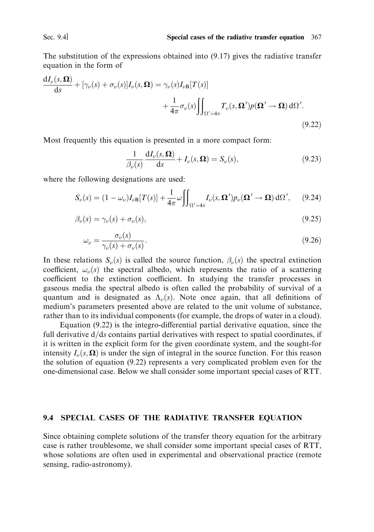The substitution of the expressions obtained into  $(9.17)$  gives the radiative transfer equation in the form of

$$
\frac{dI_{\nu}(s,\Omega)}{ds} + [\gamma_{\nu}(s) + \sigma_{\nu}(s)]I_{\nu}(s,\Omega) = \gamma_{\nu}(s)I_{\nu}B[T(s)] + \frac{1}{4\pi}\sigma_{\nu}(s)\iint_{\Omega'=4\pi} T_{\nu}(s,\Omega')p(\Omega' \to \Omega) d\Omega'.
$$
\n(9.22)

Most frequently this equation is presented in a more compact form:

$$
\frac{1}{\beta_{\nu}(s)} \frac{\mathrm{d}I_{\nu}(s,\Omega)}{\mathrm{d}s} + I_{\nu}(s,\Omega) = S_{\nu}(s),\tag{9.23}
$$

where the following designations are used:

$$
S_{\nu}(s) = (1 - \omega_{\nu})I_{\nu}B[T(s)] + \frac{1}{4\pi}\omega \iint_{\Omega' = 4\pi} I_{\nu}(s, \mathbf{\Omega}')p_{\nu}(\mathbf{\Omega}' \to \mathbf{\Omega}) d\Omega', \qquad (9.24)
$$

$$
\beta_{\nu}(s) = \gamma_{\nu}(s) + \sigma_{\nu}(s),\tag{9.25}
$$

$$
\omega_{\nu} = \frac{\sigma_{\nu}(s)}{\gamma_{\nu}(s) + \sigma_{\nu}(s)}.\tag{9.26}
$$

In these relations  $S_{\nu}(s)$  is called the source function,  $\beta_{\nu}(s)$  the spectral extinction coefficient,  $\omega_{\nu}(s)$  the spectral albedo, which represents the ratio of a scattering coefficient to the extinction coefficient. In studying the transfer processes in gaseous media the spectral albedo is often called the probability of survival of a quantum and is designated as  $\Lambda_{\nu}(s)$ . Note once again, that all definitions of medium's parameters presented above are related to the unit volume of substance, rather than to its individual components (for example, the drops of water in a cloud).

Equation  $(9.22)$  is the integro-differential partial derivative equation, since the full derivative d/ds contains partial derivatives with respect to spatial coordinates, if it is written in the explicit form for the given coordinate system, and the sought-for intensity  $I_{\nu}(s, \Omega)$  is under the sign of integral in the source function. For this reason the solution of equation (9.22) represents a very complicated problem even for the one-dimensional case. Below we shall consider some important special cases of RTT.

### 9.4 SPECIAL CASES OF THE RADIATIVE TRANSFER EQUATION

Since obtaining complete solutions of the transfer theory equation for the arbitrary case is rather troublesome, we shall consider some important special cases of RTT, whose solutions are often used in experimental and observational practice (remote sensing, radio-astronomy).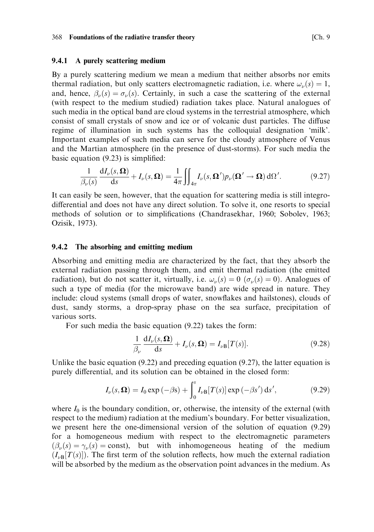### 9.4.1 A purely scattering medium

By a purely scattering medium we mean a medium that neither absorbs nor emits thermal radiation, but only scatters electromagnetic radiation, i.e. where  $\omega_{\nu}(s) = 1$ , and, hence,  $\beta_{\nu}(s) = \sigma_{\nu}(s)$ . Certainly, in such a case the scattering of the external (with respect to the medium studied) radiation takes place. Natural analogues of such media in the optical band are cloud systems in the terrestrial atmosphere, which consist of small crystals of snow and ice or of volcanic dust particles. The diffuse regime of illumination in such systems has the colloquial designation 'milk'. Important examples of such media can serve for the cloudy atmosphere of Venus and the Martian atmosphere (in the presence of dust-storms). For such media the basic equation  $(9.23)$  is simplified:

$$
\frac{1}{\beta_{\nu}(s)}\frac{\mathrm{d}I_{\nu}(s,\Omega)}{\mathrm{d}s} + I_{\nu}(s,\Omega) = \frac{1}{4\pi} \iint_{4\pi} I_{\nu}(s,\Omega') p_{\nu}(\Omega' \to \Omega) \,\mathrm{d}\Omega'. \tag{9.27}
$$

It can easily be seen, however, that the equation for scattering media is still integrodifferential and does not have any direct solution. To solve it, one resorts to special methods of solution or to simplifications (Chandrasekhar, 1960; Soboley, 1963; Ozisik, 1973).

#### The absorbing and emitting medium 9.4.2

Absorbing and emitting media are characterized by the fact, that they absorb the external radiation passing through them, and emit thermal radiation (the emitted radiation), but do not scatter it, virtually, i.e.  $\omega_{\nu}(s) = 0$  ( $\sigma_{\nu}(s) = 0$ ). Analogues of such a type of media (for the microwave band) are wide spread in nature. They include: cloud systems (small drops of water, snowflakes and hailstones), clouds of dust, sandy storms, a drop-spray phase on the sea surface, precipitation of various sorts.

For such media the basic equation  $(9.22)$  takes the form:

$$
\frac{1}{\beta_{\nu}} \frac{dI_{\nu}(s,\Omega)}{ds} + I_{\nu}(s,\Omega) = I_{\nu B}[T(s)].
$$
\n(9.28)

Unlike the basic equation  $(9.22)$  and preceding equation  $(9.27)$ , the latter equation is purely differential, and its solution can be obtained in the closed form:

$$
I_{\nu}(s,\Omega) = I_0 \exp\left(-\beta s\right) + \int_0^s I_{\nu B}[T(s)] \exp\left(-\beta s'\right) \mathrm{d}s',\tag{9.29}
$$

where  $I_0$  is the boundary condition, or, otherwise, the intensity of the external (with respect to the medium) radiation at the medium's boundary. For better visualization, we present here the one-dimensional version of the solution of equation (9.29) for a homogeneous medium with respect to the electromagnetic parameters  $(\beta_{\nu}(s) = \gamma_{\nu}(s) = \text{const})$ , but with inhomogeneous heating of the medium  $(I_{\nu B}[T(s)])$ . The first term of the solution reflects, how much the external radiation will be absorbed by the medium as the observation point advances in the medium. As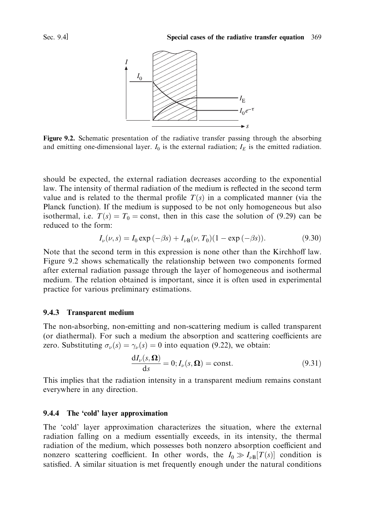

Figure 9.2. Schematic presentation of the radiative transfer passing through the absorbing and emitting one-dimensional layer.  $I_0$  is the external radiation;  $I_E$  is the emitted radiation.

should be expected, the external radiation decreases according to the exponential law. The intensity of thermal radiation of the medium is reflected in the second term value and is related to the thermal profile  $T(s)$  in a complicated manner (via the Planck function). If the medium is supposed to be not only homogeneous but also isothermal, i.e.  $T(s) = T_0 = \text{const}$ , then in this case the solution of (9.29) can be reduced to the form:

$$
I_{\nu}(\nu, s) = I_0 \exp(-\beta s) + I_{\nu B}(\nu, T_0)(1 - \exp(-\beta s)).
$$
\n(9.30)

Note that the second term in this expression is none other than the Kirchhoff law. Figure 9.2 shows schematically the relationship between two components formed after external radiation passage through the layer of homogeneous and isothermal medium. The relation obtained is important, since it is often used in experimental practice for various preliminary estimations.

### 9.4.3 Transparent medium

The non-absorbing, non-emitting and non-scattering medium is called transparent (or diathermal). For such a medium the absorption and scattering coefficients are zero. Substituting  $\sigma_{\nu}(s) = \gamma_{\nu}(s) = 0$  into equation (9.22), we obtain:

$$
\frac{dI_{\nu}(s,\Omega)}{ds} = 0; I_{\nu}(s,\Omega) = \text{const.}
$$
\n(9.31)

This implies that the radiation intensity in a transparent medium remains constant everywhere in any direction.

#### 9.4.4 The 'cold' layer approximation

The 'cold' layer approximation characterizes the situation, where the external radiation falling on a medium essentially exceeds, in its intensity, the thermal radiation of the medium, which possesses both nonzero absorption coefficient and nonzero scattering coefficient. In other words, the  $I_0 \gg I_{\nu B}[T(s)]$  condition is satisfied. A similar situation is met frequently enough under the natural conditions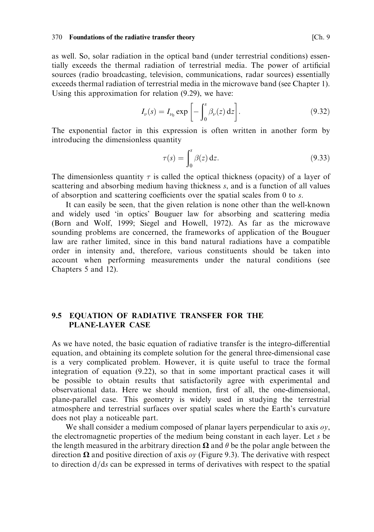as well. So, solar radiation in the optical band (under terrestrial conditions) essentially exceeds the thermal radiation of terrestrial media. The power of artificial sources (radio broadcasting, television, communications, radar sources) essentially exceeds thermal radiation of terrestrial media in the microwave band (see Chapter 1). Using this approximation for relation  $(9.29)$ , we have:

$$
I_{\nu}(s) = I_{\nu_0} \exp\left[-\int_0^s \beta_{\nu}(z) dz\right].
$$
 (9.32)

The exponential factor in this expression is often written in another form by introducing the dimensionless quantity

$$
\tau(s) = \int_0^s \beta(z) dz.
$$
\n(9.33)

The dimensionless quantity  $\tau$  is called the optical thickness (opacity) of a layer of scattering and absorbing medium having thickness s, and is a function of all values of absorption and scattering coefficients over the spatial scales from 0 to  $s$ .

It can easily be seen, that the given relation is none other than the well-known and widely used 'in optics' Bouguer law for absorbing and scattering media (Born and Wolf, 1999; Siegel and Howell, 1972). As far as the microwave sounding problems are concerned, the frameworks of application of the Bouguer law are rather limited, since in this band natural radiations have a compatible order in intensity and, therefore, various constituents should be taken into account when performing measurements under the natural conditions (see Chapters 5 and 12).

### 9.5 EQUATION OF RADIATIVE TRANSFER FOR THE **PLANE-LAYER CASE**

As we have noted, the basic equation of radiative transfer is the integro-differential equation, and obtaining its complete solution for the general three-dimensional case is a very complicated problem. However, it is quite useful to trace the formal integration of equation (9.22), so that in some important practical cases it will be possible to obtain results that satisfactorily agree with experimental and observational data. Here we should mention, first of all, the one-dimensional, plane-parallel case. This geometry is widely used in studying the terrestrial atmosphere and terrestrial surfaces over spatial scales where the Earth's curvature does not play a noticeable part.

We shall consider a medium composed of planar layers perpendicular to axis  $o_y$ , the electromagnetic properties of the medium being constant in each layer. Let  $s$  be the length measured in the arbitrary direction  $\Omega$  and  $\theta$  be the polar angle between the direction  $\Omega$  and positive direction of axis oy (Figure 9.3). The derivative with respect to direction  $d/ds$  can be expressed in terms of derivatives with respect to the spatial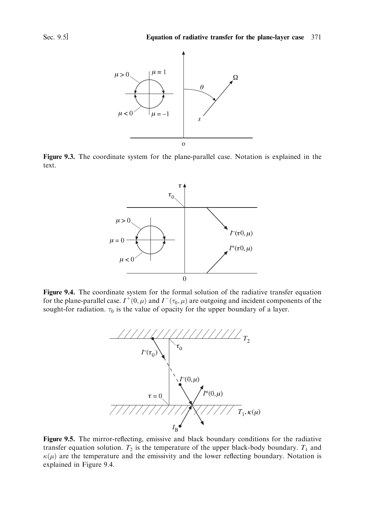



Figure 9.3. The coordinate system for the plane-parallel case. Notation is explained in the text.



Figure 9.4. The coordinate system for the formal solution of the radiative transfer equation for the plane-parallel case.  $I^+(0, \mu)$  and  $I^-(\tau_0, \mu)$  are outgoing and incident components of the sought-for radiation.  $\tau_0$  is the value of opacity for the upper boundary of a layer.



Figure 9.5. The mirror-reflecting, emissive and black boundary conditions for the radiative transfer equation solution.  $T_2$  is the temperature of the upper black-body boundary.  $T_1$  and  $\kappa(\mu)$  are the temperature and the emissivity and the lower reflecting boundary. Notation is explained in Figure 9.4.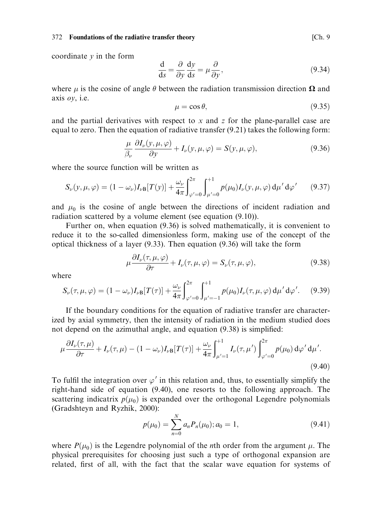coordinate  $\nu$  in the form

$$
\frac{d}{ds} = \frac{\partial}{\partial y} \frac{dy}{ds} = \mu \frac{\partial}{\partial y},\tag{9.34}
$$

where  $\mu$  is the cosine of angle  $\theta$  between the radiation transmission direction  $\Omega$  and axis  $oy$ , i.e.

$$
\mu = \cos \theta,\tag{9.35}
$$

and the partial derivatives with respect to  $x$  and  $z$  for the plane-parallel case are equal to zero. Then the equation of radiative transfer (9.21) takes the following form:

$$
\frac{\mu}{\beta_{\nu}} \frac{\partial I_{\nu}(y, \mu, \varphi)}{\partial y} + I_{\nu}(y, \mu, \varphi) = S(y, \mu, \varphi), \tag{9.36}
$$

where the source function will be written as

$$
S_{\nu}(y,\mu,\varphi) = (1 - \omega_{\nu})I_{\nu}B[T(y)] + \frac{\omega_{\nu}}{4\pi} \int_{\varphi'=0}^{2\pi} \int_{\mu'=0}^{1} p(\mu_{0})I_{\nu}(y,\mu,\varphi) d\mu' d\varphi'
$$
 (9.37)

and  $\mu_0$  is the cosine of angle between the directions of incident radiation and radiation scattered by a volume element (see equation (9.10)).

Further on, when equation (9.36) is solved mathematically, it is convenient to reduce it to the so-called dimensionless form, making use of the concept of the optical thickness of a layer  $(9.33)$ . Then equation  $(9.36)$  will take the form

$$
\mu \frac{\partial I_{\nu}(\tau, \mu, \varphi)}{\partial \tau} + I_{\nu}(\tau, \mu, \varphi) = S_{\nu}(\tau, \mu, \varphi), \tag{9.38}
$$

where

$$
S_{\nu}(\tau,\mu,\varphi) = (1-\omega_{\nu})I_{\nu B}[T(\tau)] + \frac{\omega_{\nu}}{4\pi} \int_{\varphi'=0}^{2\pi} \int_{\mu'=-1}^{+1} p(\mu_0)I_{\nu}(\tau,\mu,\varphi) d\mu' d\varphi'.
$$
 (9.39)

If the boundary conditions for the equation of radiative transfer are characterized by axial symmetry, then the intensity of radiation in the medium studied does not depend on the azimuthal angle, and equation (9.38) is simplified:

$$
\mu \frac{\partial I_{\nu}(\tau,\mu)}{\partial \tau} + I_{\nu}(\tau,\mu) - (1 - \omega_{\nu}) I_{\nu} \mathbf{B}[T(\tau)] + \frac{\omega_{\nu}}{4\pi} \int_{\mu'=1}^{+1} I_{\nu}(\tau,\mu') \int_{\varphi'=0}^{2\pi} p(\mu_{0}) d\varphi' d\mu'.
$$
\n(9.40)

To fulfil the integration over  $\varphi'$  in this relation and, thus, to essentially simplify the right-hand side of equation (9.40), one resorts to the following approach. The scattering indicatrix  $p(\mu_0)$  is expanded over the orthogonal Legendre polynomials (Gradshteyn and Ryzhik, 2000):

$$
p(\mu_0) = \sum_{n=0}^{N} a_n P_n(\mu_0); a_0 = 1,
$$
\n(9.41)

where  $P(\mu_0)$  is the Legendre polynomial of the *n*th order from the argument  $\mu$ . The physical prerequisites for choosing just such a type of orthogonal expansion are related, first of all, with the fact that the scalar wave equation for systems of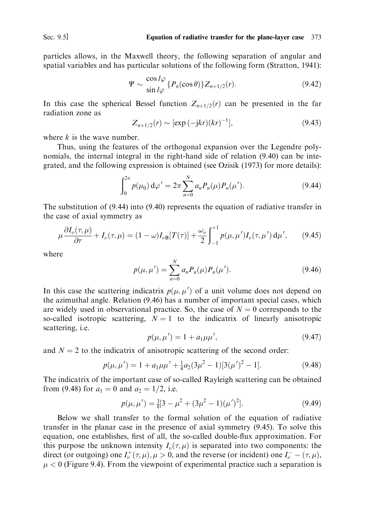particles allows, in the Maxwell theory, the following separation of angular and spatial variables and has particular solutions of the following form (Stratton, 1941):

$$
\Psi \sim \frac{\cos l\varphi}{\sin l\varphi} \{P_n(\cos \theta)\} Z_{n+1/2}(r). \tag{9.42}
$$

In this case the spherical Bessel function  $Z_{n+1/2}(r)$  can be presented in the far radiation zone as

$$
Z_{n+1/2}(r) \sim [\exp(-jkr)(kr)^{-1}], \qquad (9.43)
$$

where  $k$  is the wave number.

Thus, using the features of the orthogonal expansion over the Legendre polynomials, the internal integral in the right-hand side of relation (9.40) can be integrated, and the following expression is obtained (see Ozisik (1973) for more details):

$$
\int_0^{2\pi} p(\mu_0) \, \mathrm{d}\varphi' = 2\pi \sum_{n=0}^N a_n P_n(\mu) P_n(\mu'). \tag{9.44}
$$

The substitution of  $(9.44)$  into  $(9.40)$  represents the equation of radiative transfer in the case of axial symmetry as

$$
\mu \frac{\partial I_{\nu}(\tau,\mu)}{\partial \tau} + I_{\nu}(\tau,\mu) = (1-\omega)I_{\nu B}[T(\tau)] + \frac{\omega_{\nu}}{2} \int_{-1}^{+1} p(\mu,\mu')I_{\nu}(\tau,\mu') d\mu', \qquad (9.45)
$$

where

$$
p(\mu, \mu') = \sum_{n=0}^{N} a_n P_n(\mu) P_n(\mu'). \qquad (9.46)
$$

In this case the scattering indicatrix  $p(\mu, \mu')$  of a unit volume does not depend on the azimuthal angle. Relation (9.46) has a number of important special cases, which are widely used in observational practice. So, the case of  $N = 0$  corresponds to the so-called isotropic scattering,  $N = 1$  to the indicatrix of linearly anisotropic scattering, *i.e.* 

$$
p(\mu, \mu') = 1 + a_1 \mu \mu', \tag{9.47}
$$

and  $N = 2$  to the indicatrix of anisotropic scattering of the second order:

$$
p(\mu, \mu') = 1 + a_1 \mu \mu' + \frac{1}{4} a_2 (3\mu^2 - 1) [3(\mu')^2 - 1]. \tag{9.48}
$$

The indicatrix of the important case of so-called Rayleigh scattering can be obtained from (9.48) for  $a_1 = 0$  and  $a_2 = 1/2$ , i.e.

$$
p(\mu, \mu') = \frac{3}{8} [3 - \mu^2 + (3\mu^2 - 1)(\mu')^2].
$$
 (9.49)

Below we shall transfer to the formal solution of the equation of radiative transfer in the planar case in the presence of axial symmetry (9.45). To solve this equation, one establishes, first of all, the so-called double-flux approximation. For this purpose the unknown intensity  $I_{\nu}(\tau,\mu)$  is separated into two components: the direct (or outgoing) one  $I_{\nu}^{+}(\tau,\mu), \mu > 0$ , and the reverse (or incident) one  $I_{\nu}^{-} - (\tau,\mu)$ ,  $\mu$  < 0 (Figure 9.4). From the viewpoint of experimental practice such a separation is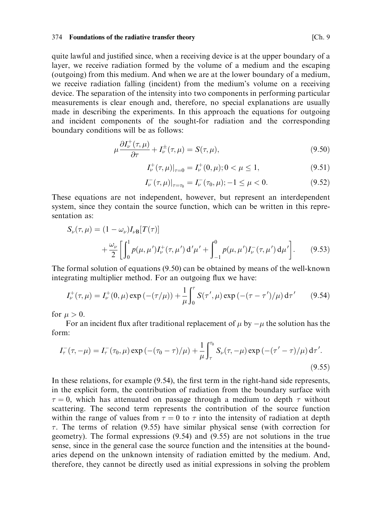quite lawful and justified since, when a receiving device is at the upper boundary of a layer, we receive radiation formed by the volume of a medium and the escaping (outgoing) from this medium. And when we are at the lower boundary of a medium, we receive radiation falling (incident) from the medium's volume on a receiving device. The separation of the intensity into two components in performing particular measurements is clear enough and, therefore, no special explanations are usually made in describing the experiments. In this approach the equations for outgoing and incident components of the sought-for radiation and the corresponding boundary conditions will be as follows:

$$
\mu \frac{\partial I_{\nu}^{+}(\tau,\mu)}{\partial \tau} + I_{\nu}^{\pm}(\tau,\mu) = S(\tau,\mu),\tag{9.50}
$$

$$
I_{\nu}^{+}(\tau,\mu)|_{\tau=0} = I_{\nu}^{+}(0,\mu); 0 < \mu \le 1,
$$
\n(9.51)

$$
I_{\nu}^{-}(\tau,\mu)|_{\tau=\tau_{0}} = I_{\nu}^{-}(\tau_{0},\mu); -1 \leq \mu < 0.
$$
 (9.52)

These equations are not independent, however, but represent an interdependent system, since they contain the source function, which can be written in this representation as:

$$
S_{\nu}(\tau,\mu) = (1 - \omega_{\nu})I_{\nu}B[T(\tau)]
$$
  
+ 
$$
\frac{\omega_{\nu}}{2} \left[ \int_0^1 p(\mu,\mu')I_{\nu}^+(\tau,\mu') d'\mu' + \int_{-1}^0 p(\mu,\mu')I_{\nu}^-(\tau,\mu') d\mu' \right].
$$
 (9.53)

The formal solution of equations  $(9.50)$  can be obtained by means of the well-known integrating multiplier method. For an outgoing flux we have:

$$
I_{\nu}^{+}(\tau,\mu) = I_{\nu}^{+}(0,\mu) \exp\left(-(\tau/\mu)\right) + \frac{1}{\mu} \int_{0}^{\tau} S(\tau',\mu) \exp\left(-(\tau-\tau')/\mu\right) d\tau' \qquad (9.54)
$$

for  $\mu > 0$ .

For an incident flux after traditional replacement of  $\mu$  by  $-\mu$  the solution has the form:

$$
I_{\tau}^{-}(\tau, -\mu) = I_{\tau}^{-}(\tau_{0}, \mu) \exp\left(-(\tau_{0} - \tau)/\mu\right) + \frac{1}{\mu} \int_{\tau}^{\tau_{0}} S_{\nu}(\tau, -\mu) \exp\left(-(\tau' - \tau)/\mu\right) d\tau'.
$$
\n(9.55)

In these relations, for example  $(9.54)$ , the first term in the right-hand side represents, in the explicit form, the contribution of radiation from the boundary surface with  $\tau = 0$ , which has attenuated on passage through a medium to depth  $\tau$  without scattering. The second term represents the contribution of the source function within the range of values from  $\tau = 0$  to  $\tau$  into the intensity of radiation at depth  $\tau$ . The terms of relation (9.55) have similar physical sense (with correction for geometry). The formal expressions (9.54) and (9.55) are not solutions in the true sense, since in the general case the source function and the intensities at the boundaries depend on the unknown intensity of radiation emitted by the medium. And, therefore, they cannot be directly used as initial expressions in solving the problem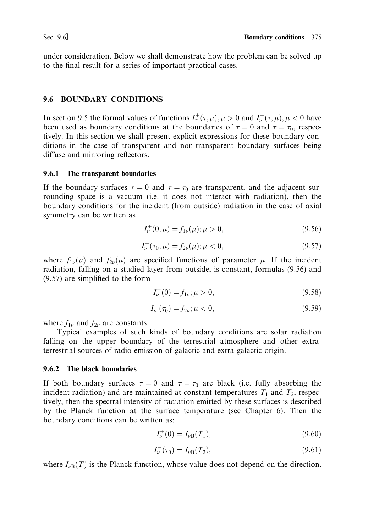under consideration. Below we shall demonstrate how the problem can be solved up to the final result for a series of important practical cases.

### 9.6 BOUNDARY CONDITIONS

In section 9.5 the formal values of functions  $I_{\tau}^{+}(\tau,\mu), \mu > 0$  and  $I_{\nu}^{-}(\tau,\mu), \mu < 0$  have been used as boundary conditions at the boundaries of  $\tau = 0$  and  $\tau = \tau_0$ , respectively. In this section we shall present explicit expressions for these boundary conditions in the case of transparent and non-transparent boundary surfaces being diffuse and mirroring reflectors.

### 9.6.1 The transparent boundaries

If the boundary surfaces  $\tau = 0$  and  $\tau = \tau_0$  are transparent, and the adjacent surrounding space is a vacuum (i.e. it does not interact with radiation), then the boundary conditions for the incident (from outside) radiation in the case of axial symmetry can be written as

$$
I_{\nu}^{+}(0,\mu) = f_{1\nu}(\mu); \mu > 0,
$$
\n(9.56)

$$
I_{\nu}^{+}(\tau_{0}, \mu) = f_{2\nu}(\mu); \mu < 0, \tag{9.57}
$$

where  $f_{1\nu}(\mu)$  and  $f_{2\nu}(\mu)$  are specified functions of parameter  $\mu$ . If the incident radiation, falling on a studied layer from outside, is constant, formulas (9.56) and  $(9.57)$  are simplified to the form

$$
I_{\nu}^{+}(0) = f_{1\nu}; \mu > 0,
$$
\n(9.58)

$$
I_{\nu}^{-}(\tau_{0}) = f_{2\nu}; \mu < 0, \tag{9.59}
$$

where  $f_{1\nu}$  and  $f_{2\nu}$  are constants.

Typical examples of such kinds of boundary conditions are solar radiation falling on the upper boundary of the terrestrial atmosphere and other extraterrestrial sources of radio-emission of galactic and extra-galactic origin.

### 9.6.2 The black boundaries

If both boundary surfaces  $\tau = 0$  and  $\tau = \tau_0$  are black (i.e. fully absorbing the incident radiation) and are maintained at constant temperatures  $T_1$  and  $T_2$ , respectively, then the spectral intensity of radiation emitted by these surfaces is described by the Planck function at the surface temperature (see Chapter 6). Then the boundary conditions can be written as:

$$
I_{\nu}^{+}(0) = I_{\nu B}(T_1), \tag{9.60}
$$

$$
I_{\nu}^{-}(\tau_{0}) = I_{\nu B}(T_{2}), \qquad (9.61)
$$

where  $I_{\nu B}(T)$  is the Planck function, whose value does not depend on the direction.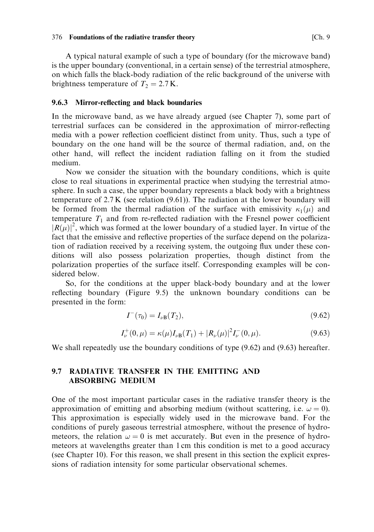A typical natural example of such a type of boundary (for the microwave band) is the upper boundary (conventional, in a certain sense) of the terrestrial atmosphere, on which falls the black-body radiation of the relic background of the universe with brightness temperature of  $T_2 = 2.7$  K.

### 9.6.3 Mirror-reflecting and black boundaries

In the microwave band, as we have already argued (see Chapter 7), some part of terrestrial surfaces can be considered in the approximation of mirror-reflecting media with a power reflection coefficient distinct from unity. Thus, such a type of boundary on the one hand will be the source of thermal radiation, and, on the other hand, will reflect the incident radiation falling on it from the studied medium.

Now we consider the situation with the boundary conditions, which is quite close to real situations in experimental practice when studying the terrestrial atmosphere. In such a case, the upper boundary represents a black body with a brightness temperature of  $2.7 K$  (see relation  $(9.61)$ ). The radiation at the lower boundary will be formed from the thermal radiation of the surface with emissivity  $\kappa_1(\mu)$  and temperature  $T_1$  and from re-reflected radiation with the Fresnel power coefficient  $|R(\mu)|^2$ , which was formed at the lower boundary of a studied layer. In virtue of the fact that the emissive and reflective properties of the surface depend on the polarization of radiation received by a receiving system, the outgoing flux under these conditions will also possess polarization properties, though distinct from the polarization properties of the surface itself. Corresponding examples will be considered below.

So, for the conditions at the upper black-body boundary and at the lower reflecting boundary (Figure 9.5) the unknown boundary conditions can be presented in the form:

$$
I^{-}(\tau_0) = I_{\nu \mathbf{B}}(T_2), \tag{9.62}
$$

$$
I_{\nu}^{+}(0,\mu) = \kappa(\mu)I_{\nu B}(T_1) + |R_{\nu}(\mu)|^2 I_{\nu}^{-}(0,\mu). \tag{9.63}
$$

We shall repeatedly use the boundary conditions of type  $(9.62)$  and  $(9.63)$  hereafter.

#### **RADIATIVE TRANSFER IN THE EMITTING AND**  $9.7$ **ABSORBING MEDIUM**

One of the most important particular cases in the radiative transfer theory is the approximation of emitting and absorbing medium (without scattering, i.e.  $\omega = 0$ ). This approximation is especially widely used in the microwave band. For the conditions of purely gaseous terrestrial atmosphere, without the presence of hydrometeors, the relation  $\omega = 0$  is met accurately. But even in the presence of hydrometeors at wavelengths greater than 1 cm this condition is met to a good accuracy (see Chapter 10). For this reason, we shall present in this section the explicit expressions of radiation intensity for some particular observational schemes.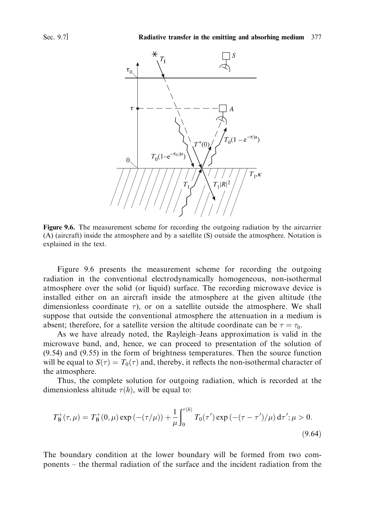

Figure 9.6. The measurement scheme for recording the outgoing radiation by the aircarrier (A) (aircraft) inside the atmosphere and by a satellite (S) outside the atmosphere. Notation is explained in the text.

Figure 9.6 presents the measurement scheme for recording the outgoing radiation in the conventional electrodynamically homogeneous, non-isothermal atmosphere over the solid (or liquid) surface. The recording microwave device is installed either on an aircraft inside the atmosphere at the given altitude (the dimensionless coordinate  $\tau$ ), or on a satellite outside the atmosphere. We shall suppose that outside the conventional atmosphere the attenuation in a medium is absent; therefore, for a satellite version the altitude coordinate can be  $\tau = \tau_0$ .

As we have already noted, the Rayleigh-Jeans approximation is valid in the microwave band, and, hence, we can proceed to presentation of the solution of  $(9.54)$  and  $(9.55)$  in the form of brightness temperatures. Then the source function will be equal to  $S(\tau) = T_0(\tau)$  and, thereby, it reflects the non-isothermal character of the atmosphere.

Thus, the complete solution for outgoing radiation, which is recorded at the dimensionless altitude  $\tau(h)$ , will be equal to:

$$
T_{\rm B}^+(\tau,\mu) = T_{\rm B}^+(0,\mu) \exp\left(-(\tau/\mu)\right) + \frac{1}{\mu} \int_0^{\tau(h)} T_0(\tau') \exp\left(-(\tau-\tau')/\mu\right) d\tau'; \mu > 0.
$$
\n(9.64)

The boundary condition at the lower boundary will be formed from two components – the thermal radiation of the surface and the incident radiation from the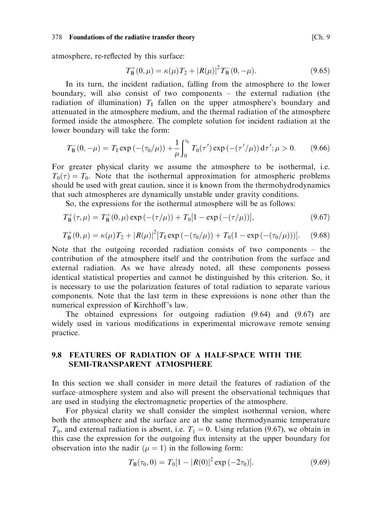atmosphere, re-reflected by this surface:

$$
T_{\rm B}^+(0,\mu) = \kappa(\mu)T_2 + |R(\mu)|^2 T_{\rm B}^-(0,-\mu). \tag{9.65}
$$

In its turn, the incident radiation, falling from the atmosphere to the lower boundary, will also consist of two components – the external radiation (the radiation of illumination)  $T_1$  fallen on the upper atmosphere's boundary and attenuated in the atmosphere medium, and the thermal radiation of the atmosphere formed inside the atmosphere. The complete solution for incident radiation at the lower boundary will take the form:

$$
T_{\rm B}^-(0, -\mu) = T_{\rm I} \exp\left(-(\tau_0/\mu)\right) + \frac{1}{\mu} \int_0^{\tau_0} T_0(\tau') \exp\left(-(\tau'/\mu)\right) d\tau'; \mu > 0. \tag{9.66}
$$

For greater physical clarity we assume the atmosphere to be isothermal, i.e.  $T_0(\tau) = T_0$ . Note that the isothermal approximation for atmospheric problems should be used with great caution, since it is known from the thermohydrodynamics that such atmospheres are dynamically unstable under gravity conditions.

So, the expressions for the isothermal atmosphere will be as follows:

$$
T_{\mathbf{B}}^{+}(\tau,\mu) = T_{\mathbf{B}}^{+}(0,\mu) \exp\left(-(\tau/\mu)\right) + T_{0}[1 - \exp\left(-(\tau/\mu)\right)],\tag{9.67}
$$

$$
T_{\rm B}^+(0,\mu) = \kappa(\mu)T_2 + |R(\mu)|^2 [T_{\rm I} \exp\left(-(\tau_0/\mu)\right) + T_0(1 - \exp\left(-(\tau_0/\mu)\right))]. \tag{9.68}
$$

Note that the outgoing recorded radiation consists of two components  $-$  the contribution of the atmosphere itself and the contribution from the surface and external radiation. As we have already noted, all these components possess identical statistical properties and cannot be distinguished by this criterion. So, it is necessary to use the polarization features of total radiation to separate various components. Note that the last term in these expressions is none other than the numerical expression of Kirchhoff's law.

The obtained expressions for outgoing radiation  $(9.64)$  and  $(9.67)$  are widely used in various modifications in experimental microwave remote sensing practice.

#### $9.8$ **FEATURES OF RADIATION OF A HALF-SPACE WITH THE** SEMI-TRANSPARENT ATMOSPHERE

In this section we shall consider in more detail the features of radiation of the surface-atmosphere system and also will present the observational techniques that are used in studying the electromagnetic properties of the atmosphere.

For physical clarity we shall consider the simplest isothermal version, where both the atmosphere and the surface are at the same thermodynamic temperature  $T_0$ , and external radiation is absent, i.e.  $T_1 = 0$ . Using relation (9.67), we obtain in this case the expression for the outgoing flux intensity at the upper boundary for observation into the nadir ( $\mu = 1$ ) in the following form:

$$
T_{\rm B}(\tau_0,0) = T_0[1 - |R(0)|^2 \exp(-2\tau_0)]. \tag{9.69}
$$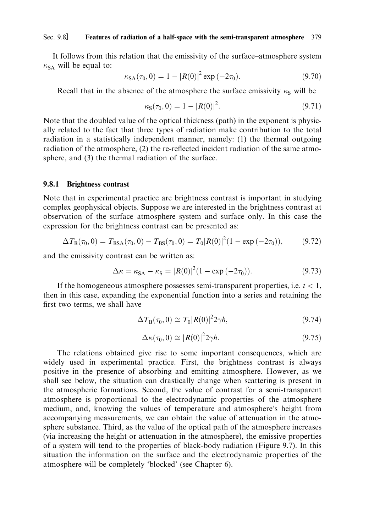#### Sec. 9.8] Features of radiation of a half-space with the semi-transparent atmosphere 379

It follows from this relation that the emissivity of the surface-atmosphere system  $\kappa_{SA}$  will be equal to:

$$
\kappa_{SA}(\tau_0, 0) = 1 - |R(0)|^2 \exp(-2\tau_0). \tag{9.70}
$$

Recall that in the absence of the atmosphere the surface emissivity  $\kappa_S$  will be

$$
\kappa_{\mathbf{S}}(\tau_0, 0) = 1 - |R(0)|^2. \tag{9.71}
$$

Note that the doubled value of the optical thickness (path) in the exponent is physically related to the fact that three types of radiation make contribution to the total radiation in a statistically independent manner, namely: (1) the thermal outgoing radiation of the atmosphere, (2) the re-reflected incident radiation of the same atmosphere, and (3) the thermal radiation of the surface.

#### 9.8.1 **Brightness contrast**

Note that in experimental practice are brightness contrast is important in studying complex geophysical objects. Suppose we are interested in the brightness contrast at observation of the surface-atmosphere system and surface only. In this case the expression for the brightness contrast can be presented as:

$$
\Delta T_{\rm B}(\tau_0,0) = T_{\rm BSA}(\tau_0,0) - T_{\rm BS}(\tau_0,0) = T_0 |R(0)|^2 (1 - \exp(-2\tau_0)),\tag{9.72}
$$

and the emissivity contrast can be written as:

$$
\Delta \kappa = \kappa_{SA} - \kappa_{S} = |R(0)|^2 (1 - \exp(-2\tau_0)).
$$
\n(9.73)

If the homogeneous atmosphere possesses semi-transparent properties, i.e.  $t < 1$ . then in this case, expanding the exponential function into a series and retaining the first two terms, we shall have

$$
\Delta T_{\mathcal{B}}(\tau_0, 0) \cong T_0 |R(0)|^2 2\gamma h, \tag{9.74}
$$

$$
\Delta \kappa(\tau_0, 0) \cong |R(0)|^2 2\gamma h. \tag{9.75}
$$

The relations obtained give rise to some important consequences, which are widely used in experimental practice. First, the brightness contrast is always positive in the presence of absorbing and emitting atmosphere. However, as we shall see below, the situation can drastically change when scattering is present in the atmospheric formations. Second, the value of contrast for a semi-transparent atmosphere is proportional to the electrodynamic properties of the atmosphere medium, and, knowing the values of temperature and atmosphere's height from accompanying measurements, we can obtain the value of attenuation in the atmosphere substance. Third, as the value of the optical path of the atmosphere increases (via increasing the height or attenuation in the atmosphere), the emissive properties of a system will tend to the properties of black-body radiation (Figure 9.7). In this situation the information on the surface and the electrodynamic properties of the atmosphere will be completely 'blocked' (see Chapter 6).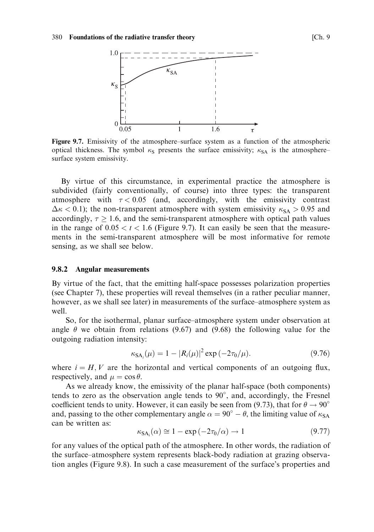

Figure 9.7. Emissivity of the atmosphere–surface system as a function of the atmospheric optical thickness. The symbol  $\kappa$ s presents the surface emissivity;  $\kappa$ <sub>SA</sub> is the atmospheresurface system emissivity.

By virtue of this circumstance, in experimental practice the atmosphere is subdivided (fairly conventionally, of course) into three types: the transparent atmosphere with  $\tau < 0.05$  (and, accordingly, with the emissivity contrast  $\Delta \kappa$  < 0.1); the non-transparent atmosphere with system emissivity  $\kappa_{SA} > 0.95$  and accordingly,  $\tau \geq 1.6$ , and the semi-transparent atmosphere with optical path values in the range of  $0.05 < t < 1.6$  (Figure 9.7). It can easily be seen that the measurements in the semi-transparent atmosphere will be most informative for remote sensing, as we shall see below.

#### 9.8.2 **Angular measurements**

By virtue of the fact, that the emitting half-space possesses polarization properties (see Chapter 7), these properties will reveal themselves (in a rather peculiar manner, however, as we shall see later) in measurements of the surface-atmosphere system as well.

So, for the isothermal, planar surface–atmosphere system under observation at angle  $\theta$  we obtain from relations (9.67) and (9.68) the following value for the outgoing radiation intensity:

$$
\kappa_{SA}(\mu) = 1 - |R_i(\mu)|^2 \exp(-2\tau_0/\mu). \tag{9.76}
$$

where  $i = H, V$  are the horizontal and vertical components of an outgoing flux, respectively, and  $\mu = \cos \theta$ .

As we already know, the emissivity of the planar half-space (both components) tends to zero as the observation angle tends to  $90^{\circ}$ , and, accordingly, the Fresnel coefficient tends to unity. However, it can easily be seen from (9.73), that for  $\theta \rightarrow 90^{\circ}$ and, passing to the other complementary angle  $\alpha = 90^{\circ} - \theta$ , the limiting value of  $\kappa_{SA}$ can be written as:

$$
\kappa_{\text{SA}}(\alpha) \cong 1 - \exp(-2\tau_0/\alpha) \to 1 \tag{9.77}
$$

for any values of the optical path of the atmosphere. In other words, the radiation of the surface-atmosphere system represents black-body radiation at grazing observation angles (Figure 9.8). In such a case measurement of the surface's properties and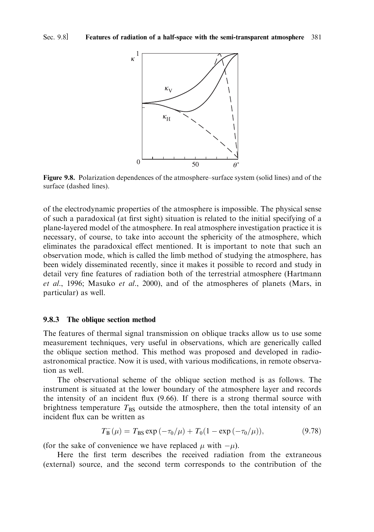

Figure 9.8. Polarization dependences of the atmosphere–surface system (solid lines) and of the surface (dashed lines).

of the electrodynamic properties of the atmosphere is impossible. The physical sense of such a paradoxical (at first sight) situation is related to the initial specifying of a plane-layered model of the atmosphere. In real atmosphere investigation practice it is necessary, of course, to take into account the sphericity of the atmosphere, which eliminates the paradoxical effect mentioned. It is important to note that such an observation mode, which is called the limb method of studying the atmosphere, has been widely disseminated recently, since it makes it possible to record and study in detail very fine features of radiation both of the terrestrial atmosphere (Hartmann et al., 1996; Masuko et al., 2000), and of the atmospheres of planets (Mars, in particular) as well.

### 9.8.3 The oblique section method

The features of thermal signal transmission on oblique tracks allow us to use some measurement techniques, very useful in observations, which are generically called the oblique section method. This method was proposed and developed in radioastronomical practice. Now it is used, with various modifications, in remote observation as well.

The observational scheme of the oblique section method is as follows. The instrument is situated at the lower boundary of the atmosphere layer and records the intensity of an incident flux (9.66). If there is a strong thermal source with brightness temperature  $T_{BS}$  outside the atmosphere, then the total intensity of an incident flux can be written as

$$
T_{\rm B}^{-}(\mu) = T_{\rm BS} \exp\left(-\tau_0/\mu\right) + T_0(1 - \exp\left(-\tau_0/\mu\right)),\tag{9.78}
$$

(for the sake of convenience we have replaced  $\mu$  with  $-\mu$ ).

Here the first term describes the received radiation from the extraneous (external) source, and the second term corresponds to the contribution of the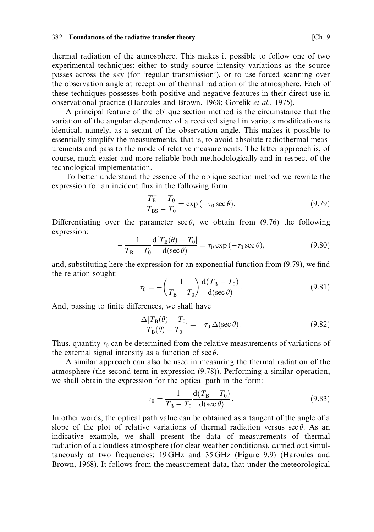thermal radiation of the atmosphere. This makes it possible to follow one of two experimental techniques: either to study source intensity variations as the source passes across the sky (for 'regular transmission'), or to use forced scanning over the observation angle at reception of thermal radiation of the atmosphere. Each of these techniques possesses both positive and negative features in their direct use in observational practice (Haroules and Brown, 1968; Gorelik et al., 1975).

A principal feature of the oblique section method is the circumstance that the variation of the angular dependence of a received signal in various modifications is identical, namely, as a secant of the observation angle. This makes it possible to essentially simplify the measurements, that is, to avoid absolute radiothermal measurements and pass to the mode of relative measurements. The latter approach is, of course, much easier and more reliable both methodologically and in respect of the technological implementation.

To better understand the essence of the oblique section method we rewrite the expression for an incident flux in the following form:

$$
\frac{T_{\rm B} - T_0}{T_{\rm BS} - T_0} = \exp(-\tau_0 \sec \theta). \tag{9.79}
$$

Differentiating over the parameter  $\sec \theta$ , we obtain from (9.76) the following expression:

$$
-\frac{1}{T_{\rm B} - T_0} \frac{\mathrm{d}[T_{\rm B}(\theta) - T_0]}{\mathrm{d}(\sec \theta)} = \tau_0 \exp(-\tau_0 \sec \theta),\tag{9.80}
$$

and, substituting here the expression for an exponential function from  $(9.79)$ , we find the relation sought:

$$
\tau_0 = -\left(\frac{1}{T_B - T_0}\right) \frac{\mathrm{d}(T_B - T_0)}{\mathrm{d}(\sec \theta)}.
$$
\n(9.81)

And, passing to finite differences, we shall have

$$
\frac{\Delta[T_{\rm B}(\theta) - T_0]}{T_{\rm B}(\theta) - T_0} = -\tau_0 \,\Delta(\sec \theta). \tag{9.82}
$$

Thus, quantity  $\tau_0$  can be determined from the relative measurements of variations of the external signal intensity as a function of  $\sec \theta$ .

A similar approach can also be used in measuring the thermal radiation of the atmosphere (the second term in expression  $(9.78)$ ). Performing a similar operation, we shall obtain the expression for the optical path in the form:

$$
\tau_0 = \frac{1}{T_B - T_0} \frac{d(T_B - T_0)}{d(\sec \theta)}.
$$
\n(9.83)

In other words, the optical path value can be obtained as a tangent of the angle of a slope of the plot of relative variations of thermal radiation versus  $\sec \theta$ . As an indicative example, we shall present the data of measurements of thermal radiation of a cloudless atmosphere (for clear weather conditions), carried out simultaneously at two frequencies: 19 GHz and 35 GHz (Figure 9.9) (Haroules and Brown, 1968). It follows from the measurement data, that under the meteorological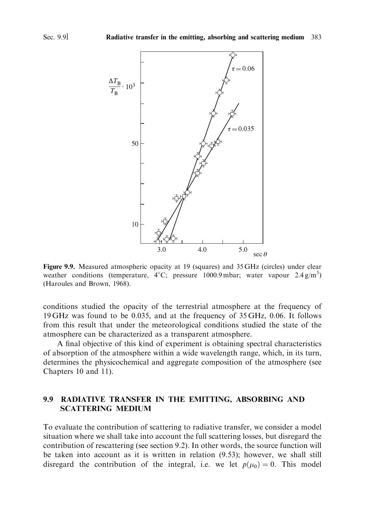

Figure 9.9. Measured atmospheric opacity at 19 (squares) and 35 GHz (circles) under clear weather conditions (temperature,  $4^{\circ}$ C; pressure 1000.9 mbar; water vapour 2.4 g/m<sup>3</sup>) (Haroules and Brown, 1968).

conditions studied the opacity of the terrestrial atmosphere at the frequency of 19 GHz was found to be 0.035, and at the frequency of 35 GHz, 0.06. It follows from this result that under the meteorological conditions studied the state of the atmosphere can be characterized as a transparent atmosphere.

A final objective of this kind of experiment is obtaining spectral characteristics of absorption of the atmosphere within a wide wavelength range, which, in its turn, determines the physicochemical and aggregate composition of the atmosphere (see Chapters 10 and 11).

#### $9.9$ RADIATIVE TRANSFER IN THE EMITTING, ABSORBING AND **SCATTERING MEDIUM**

To evaluate the contribution of scattering to radiative transfer, we consider a model situation where we shall take into account the full scattering losses, but disregard the contribution of rescattering (see section 9.2). In other words, the source function will be taken into account as it is written in relation (9.53); however, we shall still disregard the contribution of the integral, i.e. we let  $p(\mu_0) = 0$ . This model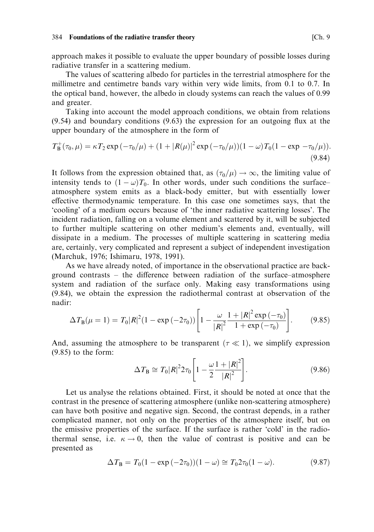approach makes it possible to evaluate the upper boundary of possible losses during radiative transfer in a scattering medium.

The values of scattering albedo for particles in the terrestrial atmosphere for the millimetre and centimetre bands vary within very wide limits, from 0.1 to 0.7. In the optical band, however, the albedo in cloudy systems can reach the values of 0.99 and greater.

Taking into account the model approach conditions, we obtain from relations  $(9.54)$  and boundary conditions  $(9.63)$  the expression for an outgoing flux at the upper boundary of the atmosphere in the form of

$$
T_{\rm B}^+(\tau_0,\mu) = \kappa T_2 \exp\left(-\tau_0/\mu\right) + (1+|R(\mu)|^2 \exp\left(-\tau_0/\mu\right))(1-\omega)T_0(1-\exp\left(-\tau_0/\mu\right))\tag{9.84}
$$

It follows from the expression obtained that, as  $(\tau_0/\mu) \to \infty$ , the limiting value of intensity tends to  $(1 - \omega)T_0$ . In other words, under such conditions the surfaceatmosphere system emits as a black-body emitter, but with essentially lower effective thermodynamic temperature. In this case one sometimes says, that the 'cooling' of a medium occurs because of 'the inner radiative scattering losses'. The incident radiation, falling on a volume element and scattered by it, will be subjected to further multiple scattering on other medium's elements and, eventually, will dissipate in a medium. The processes of multiple scattering in scattering media are, certainly, very complicated and represent a subject of independent investigation (Marchuk, 1976; Ishimaru, 1978, 1991).

As we have already noted, of importance in the observational practice are background contrasts  $-$  the difference between radiation of the surface-atmosphere system and radiation of the surface only. Making easy transformations using (9.84), we obtain the expression the radiothermal contrast at observation of the nadir:

$$
\Delta T_{\rm B}(\mu=1) = T_0 |R|^2 (1 - \exp(-2\tau_0)) \left[ 1 - \frac{\omega}{|R|^2} \frac{1 + |R|^2 \exp(-\tau_0)}{1 + \exp(-\tau_0)} \right]. \tag{9.85}
$$

And, assuming the atmosphere to be transparent ( $\tau \ll 1$ ), we simplify expression  $(9.85)$  to the form:

$$
\Delta T_{\rm B} \cong T_0 |R|^2 2\tau_0 \left[ 1 - \frac{\omega}{2} \frac{1 + |R|^2}{|R|^2} \right].
$$
 (9.86)

Let us analyse the relations obtained. First, it should be noted at once that the contrast in the presence of scattering atmosphere (unlike non-scattering atmosphere) can have both positive and negative sign. Second, the contrast depends, in a rather complicated manner, not only on the properties of the atmosphere itself, but on the emissive properties of the surface. If the surface is rather 'cold' in the radiothermal sense, i.e.  $\kappa \to 0$ , then the value of contrast is positive and can be presented as

$$
\Delta T_{\rm B} = T_0 (1 - \exp(-2\tau_0)) (1 - \omega) \approx T_0 2\tau_0 (1 - \omega). \tag{9.87}
$$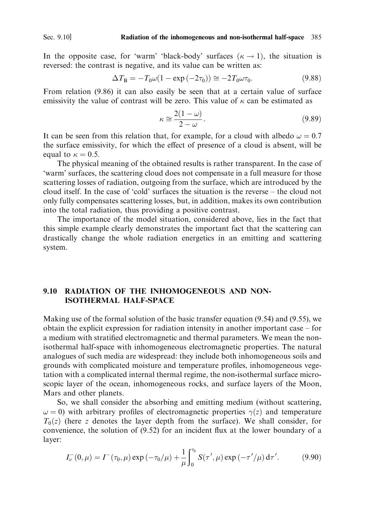In the opposite case, for 'warm' 'black-body' surfaces  $(\kappa \rightarrow 1)$ , the situation is reversed: the contrast is negative, and its value can be written as:

$$
\Delta T_{\rm B} = -T_0 \omega (1 - \exp(-2\tau_0)) \approx -2T_0 \omega \tau_0. \tag{9.88}
$$

From relation (9.86) it can also easily be seen that at a certain value of surface emissivity the value of contrast will be zero. This value of  $\kappa$  can be estimated as

$$
\kappa \cong \frac{2(1-\omega)}{2-\omega}.\tag{9.89}
$$

It can be seen from this relation that, for example, for a cloud with albedo  $\omega = 0.7$ the surface emissivity, for which the effect of presence of a cloud is absent, will be equal to  $\kappa = 0.5$ .

The physical meaning of the obtained results is rather transparent. In the case of 'warm' surfaces, the scattering cloud does not compensate in a full measure for those scattering losses of radiation, outgoing from the surface, which are introduced by the cloud itself. In the case of 'cold' surfaces the situation is the reverse - the cloud not only fully compensates scattering losses, but, in addition, makes its own contribution into the total radiation, thus providing a positive contrast.

The importance of the model situation, considered above, lies in the fact that this simple example clearly demonstrates the important fact that the scattering can drastically change the whole radiation energetics in an emitting and scattering system.

## 9.10 RADIATION OF THE INHOMOGENEOUS AND NON-**ISOTHERMAL HALF-SPACE**

Making use of the formal solution of the basic transfer equation  $(9.54)$  and  $(9.55)$ , we obtain the explicit expression for radiation intensity in another important case – for a medium with stratified electromagnetic and thermal parameters. We mean the nonisothermal half-space with inhomogeneous electromagnetic properties. The natural analogues of such media are widespread: they include both inhomogeneous soils and grounds with complicated moisture and temperature profiles, inhomogeneous vegetation with a complicated internal thermal regime, the non-isothermal surface microscopic layer of the ocean, inhomogeneous rocks, and surface layers of the Moon, Mars and other planets.

So, we shall consider the absorbing and emitting medium (without scattering,  $\omega = 0$ ) with arbitrary profiles of electromagnetic properties  $\gamma(z)$  and temperature  $T_0(z)$  (here z denotes the layer depth from the surface). We shall consider, for convenience, the solution of  $(9.52)$  for an incident flux at the lower boundary of a layer:

$$
I_{\nu}^{-}(0,\mu) = I^{-}(\tau_{0},\mu) \exp(-\tau_{0}/\mu) + \frac{1}{\mu} \int_{0}^{\tau_{0}} S(\tau',\mu) \exp(-\tau'/\mu) d\tau'. \tag{9.90}
$$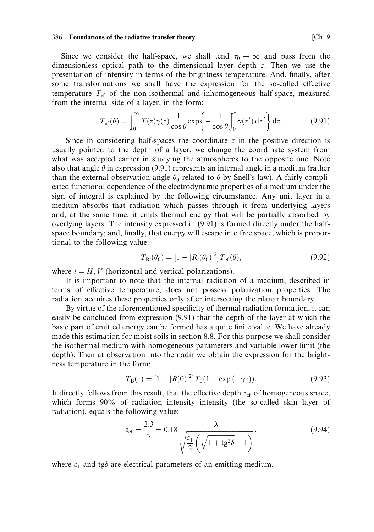Since we consider the half-space, we shall tend  $\tau_0 \rightarrow \infty$  and pass from the dimensionless optical path to the dimensional layer depth z. Then we use the presentation of intensity in terms of the brightness temperature. And, finally, after some transformations we shall have the expression for the so-called effective temperature  $T_{\rm ef}$  of the non-isothermal and inhomogeneous half-space, measured from the internal side of a layer, in the form:

$$
T_{\rm ef}(\theta) = \int_0^\infty T(z)\gamma(z)\frac{1}{\cos\theta}\exp\left\{-\frac{1}{\cos\theta}\int_0^z \gamma(z')\,\mathrm{d}z'\right\}\mathrm{d}z.
$$
 (9.91)

Since in considering half-spaces the coordinate z in the positive direction is usually pointed to the depth of a layer, we change the coordinate system from what was accepted earlier in studying the atmospheres to the opposite one. Note also that angle  $\theta$  in expression (9.91) represents an internal angle in a medium (rather than the external observation angle  $\theta_0$  related to  $\theta$  by Snell's law). A fairly complicated functional dependence of the electrodynamic properties of a medium under the sign of integral is explained by the following circumstance. Any unit layer in a medium absorbs that radiation which passes through it from underlying layers and, at the same time, it emits thermal energy that will be partially absorbed by overlying layers. The intensity expressed in (9.91) is formed directly under the halfspace boundary; and, finally, that energy will escape into free space, which is proportional to the following value:

$$
T_{\mathrm{B}i}(\theta_0) = [1 - |R_i(\theta_0)|^2] T_{\mathrm{ef}}(\theta), \qquad (9.92)
$$

where  $i = H, V$  (horizontal and vertical polarizations).

It is important to note that the internal radiation of a medium, described in terms of effective temperature, does not possess polarization properties. The radiation acquires these properties only after intersecting the planar boundary.

By virtue of the aforementioned specificity of thermal radiation formation, it can easily be concluded from expression (9.91) that the depth of the layer at which the basic part of emitted energy can be formed has a quite finite value. We have already made this estimation for moist soils in section 8.8. For this purpose we shall consider the isothermal medium with homogeneous parameters and variable lower limit (the depth). Then at observation into the nadir we obtain the expression for the brightness temperature in the form:

$$
T_{\mathbf{B}}(z) = [1 - |R(0)|^2] T_0 (1 - \exp(-\gamma z)). \tag{9.93}
$$

It directly follows from this result, that the effective depth  $z_{\text{ef}}$  of homogeneous space, which forms 90% of radiation intensity intensity (the so-called skin layer of radiation), equals the following value:

$$
z_{\rm ef} = \frac{2.3}{\gamma} = 0.18 \frac{\lambda}{\sqrt{\frac{\varepsilon_1}{2} \left( \sqrt{1 + \text{tg}^2 \delta} - 1 \right)}},\tag{9.94}
$$

where  $\varepsilon_1$  and tg $\delta$  are electrical parameters of an emitting medium.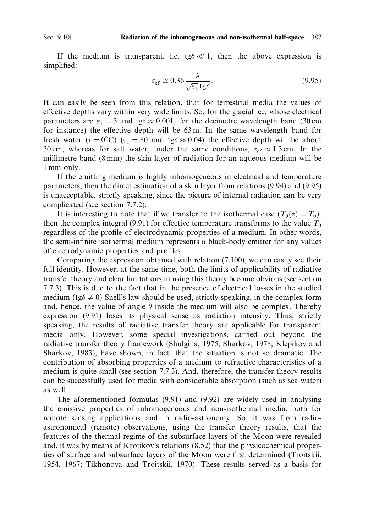Sec. 9.10]

If the medium is transparent, i.e. tg $\delta \ll 1$ , then the above expression is simplified:

$$
z_{\rm ef} \cong 0.36 \frac{\lambda}{\sqrt{\varepsilon_1} \, \text{tg}\delta}.
$$
\n(9.95)

It can easily be seen from this relation, that for terrestrial media the values of effective depths vary within very wide limits. So, for the glacial ice, whose electrical parameters are  $\varepsilon_1 = 3$  and tg $\delta \approx 0.001$ , for the decimetre wavelength band (30 cm for instance) the effective depth will be 63m. In the same wavelength band for fresh water  $(t = 0^{\circ}C)$   $(\varepsilon_1 = 80$  and tg $\delta \approx 0.04$ ) the effective depth will be about 30 cm, whereas for salt water, under the same conditions,  $z_{\text{ef}} \approx 1.3$  cm. In the millimetre band (8 mm) the skin layer of radiation for an aqueous medium will be 1 mm only.

If the emitting medium is highly inhomogeneous in electrical and temperature parameters, then the direct estimation of a skin layer from relations (9.94) and (9.95) is unacceptable, strictly speaking, since the picture of internal radiation can be very complicated (see section 7.7.2).

It is interesting to note that if we transfer to the isothermal case  $(T_0(z) = T_0)$ , then the complex integral (9.91) for effective temperature transforms to the value  $T_0$ regardless of the profile of electrodynamic properties of a medium. In other words, the semi-infinite isothermal medium represents a black-body emitter for any values of electrodynamic properties and profiles.

Comparing the expression obtained with relation (7.100), we can easily see their full identity. However, at the same time, both the limits of applicability of radiative transfer theory and clear limitations in using this theory become obvious (see section 7.7.3). This is due to the fact that in the presence of electrical losses in the studied medium (tg $\delta \neq 0$ ) Snell's law should be used, strictly speaking, in the complex form and, hence, the value of angle  $\theta$  inside the medium will also be complex. Thereby expression (9.91) loses its physical sense as radiation intensity. Thus, strictly speaking, the results of radiative transfer theory are applicable for transparent media only. However, some special investigations, carried out beyond the radiative transfer theory framework (Shulgina, 1975; Sharkov, 1978; Klepikov and Sharkov, 1983), have shown, in fact, that the situation is not so dramatic. The contribution of absorbing properties of a medium to refractive characteristics of a medium is quite small (see section 7.7.3). And, therefore, the transfer theory results can be successfully used for media with considerable absorption (such as sea water) as well.

The aforementioned formulas (9.91) and (9.92) are widely used in analysing the emissive properties of inhomogeneous and non-isothermal media, both for remote sensing applications and in radio-astronomy. So, it was from radioastronomical (remote) observations, using the transfer theory results, that the features of the thermal regime of the subsurface layers of the Moon were revealed and, it was by means of Krotikov's relations (8.52) that the physicochemical properties of surface and subsurface layers of the Moon were first determined (Troitskii, 1954, 1967; Tikhonova and Troitskii, 1970). These results served as a basis for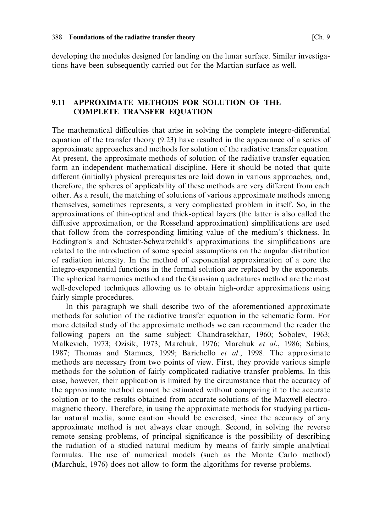developing the modules designed for landing on the lunar surface. Similar investigations have been subsequently carried out for the Martian surface as well.

#### $9.11$ APPROXIMATE METHODS FOR SOLUTION OF THE **COMPLETE TRANSFER EQUATION**

The mathematical difficulties that arise in solving the complete integro-differential equation of the transfer theory  $(9.23)$  have resulted in the appearance of a series of approximate approaches and methods for solution of the radiative transfer equation. At present, the approximate methods of solution of the radiative transfer equation form an independent mathematical discipline. Here it should be noted that quite different (initially) physical prerequisites are laid down in various approaches, and, therefore, the spheres of applicability of these methods are very different from each other. As a result, the matching of solutions of various approximate methods among themselves, sometimes represents, a very complicated problem in itself. So, in the approximations of thin-optical and thick-optical layers (the latter is also called the diffusive approximation, or the Rosseland approximation) simplifications are used that follow from the corresponding limiting value of the medium's thickness. In Eddington's and Schuster-Schwarzchild's approximations the simplifications are related to the introduction of some special assumptions on the angular distribution of radiation intensity. In the method of exponential approximation of a core the integro-exponential functions in the formal solution are replaced by the exponents. The spherical harmonics method and the Gaussian quadratures method are the most well-developed techniques allowing us to obtain high-order approximations using fairly simple procedures.

In this paragraph we shall describe two of the aforementioned approximate methods for solution of the radiative transfer equation in the schematic form. For more detailed study of the approximate methods we can recommend the reader the following papers on the same subject: Chandrasekhar, 1960; Sobolev, 1963; Malkevich, 1973; Ozisik, 1973; Marchuk, 1976; Marchuk et al., 1986; Sabins, 1987: Thomas and Stamnes, 1999; Barichello et al., 1998. The approximate methods are necessary from two points of view. First, they provide various simple methods for the solution of fairly complicated radiative transfer problems. In this case, however, their application is limited by the circumstance that the accuracy of the approximate method cannot be estimated without comparing it to the accurate solution or to the results obtained from accurate solutions of the Maxwell electromagnetic theory. Therefore, in using the approximate methods for studying particular natural media, some caution should be exercised, since the accuracy of any approximate method is not always clear enough. Second, in solving the reverse remote sensing problems, of principal significance is the possibility of describing the radiation of a studied natural medium by means of fairly simple analytical formulas. The use of numerical models (such as the Monte Carlo method) (Marchuk, 1976) does not allow to form the algorithms for reverse problems.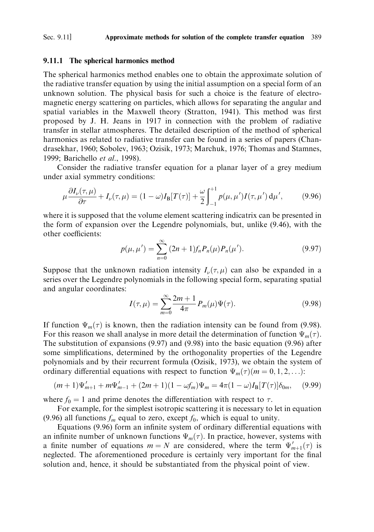#### Sec. 9.11] Approximate methods for solution of the complete transfer equation 389

### 9.11.1 The spherical harmonics method

The spherical harmonics method enables one to obtain the approximate solution of the radiative transfer equation by using the initial assumption on a special form of an unknown solution. The physical basis for such a choice is the feature of electromagnetic energy scattering on particles, which allows for separating the angular and spatial variables in the Maxwell theory (Stratton, 1941). This method was first proposed by J. H. Jeans in 1917 in connection with the problem of radiative transfer in stellar atmospheres. The detailed description of the method of spherical harmonics as related to radiative transfer can be found in a series of papers (Chandrasekhar, 1960; Sobolev, 1963; Ozisik, 1973; Marchuk, 1976; Thomas and Stamnes, 1999; Barichello et al., 1998).

Consider the radiative transfer equation for a planar layer of a grey medium under axial symmetry conditions:

$$
\mu \frac{\partial I_{\nu}(\tau, \mu)}{\partial \tau} + I_{\nu}(\tau, \mu) = (1 - \omega)I_{\mathcal{B}}[T(\tau)] + \frac{\omega}{2} \int_{-1}^{+1} p(\mu, \mu') I(\tau, \mu') d\mu', \tag{9.96}
$$

where it is supposed that the volume element scattering indicatrix can be presented in the form of expansion over the Legendre polynomials, but, unlike (9.46), with the other coefficients:

$$
p(\mu, \mu') = \sum_{n=0}^{\infty} (2n+1) f_n P_n(\mu) P_n(\mu'). \qquad (9.97)
$$

Suppose that the unknown radiation intensity  $I_{\nu}(\tau,\mu)$  can also be expanded in a series over the Legendre polynomials in the following special form, separating spatial and angular coordinates:

$$
I(\tau,\mu) = \sum_{m=0}^{\infty} \frac{2m+1}{4\pi} P_m(\mu) \Psi(\tau).
$$
 (9.98)

If function  $\Psi_m(\tau)$  is known, then the radiation intensity can be found from (9.98). For this reason we shall analyse in more detail the determination of function  $\Psi_m(\tau)$ . The substitution of expansions  $(9.97)$  and  $(9.98)$  into the basic equation  $(9.96)$  after some simplifications, determined by the orthogonality properties of the Legendre polynomials and by their recurrent formula (Ozisik, 1973), we obtain the system of ordinary differential equations with respect to function  $\Psi_m(\tau)(m = 0, 1, 2, \ldots)$ :

$$
(m+1)\Psi'_{m+1} + m\Psi'_{m-1} + (2m+1)(1 - \omega f_m)\Psi_m = 4\pi (1 - \omega)I_{\mathcal{B}}[T(\tau)]\delta_{0m}, \quad (9.99)
$$

where  $f_0 = 1$  and prime denotes the differentiation with respect to  $\tau$ .

For example, for the simplest isotropic scattering it is necessary to let in equation (9.96) all functions  $f_m$  equal to zero, except  $f_0$ , which is equal to unity.

Equations (9.96) form an infinite system of ordinary differential equations with an infinite number of unknown functions  $\Psi_m(\tau)$ . In practice, however, systems with a finite number of equations  $m = N$  are considered, where the term  $\Psi'_{m+1}(\tau)$  is neglected. The aforementioned procedure is certainly very important for the final solution and, hence, it should be substantiated from the physical point of view.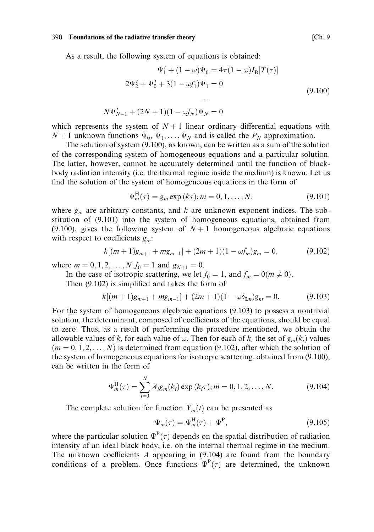As a result, the following system of equations is obtained:

$$
\Psi'_1 + (1 - \omega)\Psi_0 = 4\pi(1 - \omega)I_B[T(\tau)]
$$
  

$$
2\Psi'_2 + \Psi'_0 + 3(1 - \omega f_1)\Psi_1 = 0
$$
  
...  

$$
N\Psi'_{N-1} + (2N+1)(1 - \omega f_N)\Psi_N = 0
$$
\n(9.100)

which represents the system of  $N+1$  linear ordinary differential equations with  $N+1$  unknown functions  $\Psi_0$ ,  $\Psi_1, \dots, \Psi_N$  and is called the  $P_N$  approximation.

The solution of system  $(9.100)$ , as known, can be written as a sum of the solution of the corresponding system of homogeneous equations and a particular solution. The latter, however, cannot be accurately determined until the function of blackbody radiation intensity (i.e. the thermal regime inside the medium) is known. Let us find the solution of the system of homogeneous equations in the form of

$$
\Psi_m^{\rm H}(\tau) = g_m \exp(k\tau); m = 0, 1, \dots, N,
$$
\n(9.101)

where  $g_m$  are arbitrary constants, and k are unknown exponent indices. The substitution of (9.101) into the system of homogeneous equations, obtained from (9.100), gives the following system of  $N+1$  homogeneous algebraic equations with respect to coefficients  $g_m$ :

$$
k[(m+1)g_{m+1} + mg_{m-1}] + (2m+1)(1 - \omega f_m)g_m = 0,
$$
\n(9.102)

where  $m = 0, 1, 2, ..., N$ ,  $f_0 = 1$  and  $g_{N+1} = 0$ .

In the case of isotropic scattering, we let  $f_0 = 1$ , and  $f_m = 0$ ( $m \neq 0$ ).

Then  $(9.102)$  is simplified and takes the form of

$$
k[(m+1)g_{m+1} + mg_{m-1}] + (2m+1)(1 - \omega \delta_{0m})g_m = 0.
$$
 (9.103)

For the system of homogeneous algebraic equations (9.103) to possess a nontrivial solution, the determinant, composed of coefficients of the equations, should be equal to zero. Thus, as a result of performing the procedure mentioned, we obtain the allowable values of  $k_i$  for each value of  $\omega$ . Then for each of  $k_i$  the set of  $g_m(k_i)$  values  $(m = 0, 1, 2, \dots, N)$  is determined from equation (9.102), after which the solution of the system of homogeneous equations for isotropic scattering, obtained from (9.100), can be written in the form of

$$
\Psi_m^{\rm H}(\tau) = \sum_{i=0}^{N} A_i g_m(k_i) \exp(k_i \tau); m = 0, 1, 2, ..., N.
$$
 (9.104)

The complete solution for function  $Y_m(t)$  can be presented as

$$
\Psi_m(\tau) = \Psi_m^{\mathrm{H}}(\tau) + \Psi^{\mathrm{P}},\tag{9.105}
$$

where the particular solution  $\Psi^P(\tau)$  depends on the spatial distribution of radiation intensity of an ideal black body, i.e. on the internal thermal regime in the medium. The unknown coefficients  $A$  appearing in  $(9.104)$  are found from the boundary conditions of a problem. Once functions  $\Psi^P(\tau)$  are determined, the unknown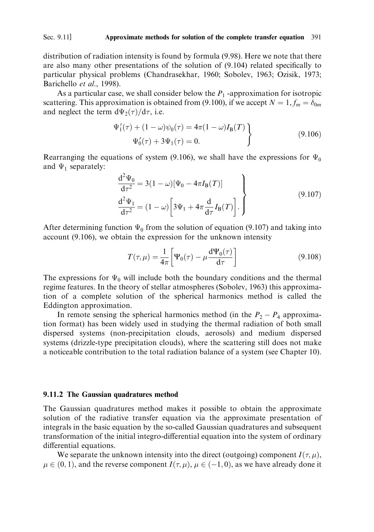#### Sec. 9.11] Approximate methods for solution of the complete transfer equation 391

distribution of radiation intensity is found by formula (9.98). Here we note that there are also many other presentations of the solution of (9.104) related specifically to particular physical problems (Chandrasekhar, 1960; Sobolev, 1963; Ozisik, 1973; Barichello et al., 1998).

As a particular case, we shall consider below the  $P_1$ -approximation for isotropic scattering. This approximation is obtained from (9.100), if we accept  $N = 1, f_m = \delta_{0m}$ and neglect the term  $d\Psi_2(\tau)/d\tau$ , i.e.

$$
\Psi'_{1}(\tau) + (1 - \omega)\psi_{0}(\tau) = 4\pi(1 - \omega)I_{B}(T) \n\Psi'_{0}(\tau) + 3\Psi_{1}(\tau) = 0.
$$
\n(9.106)

Rearranging the equations of system (9.106), we shall have the expressions for  $\Psi_0$ and  $\Psi_1$  separately:

$$
\frac{d^2 \Psi_0}{d\tau^2} = 3(1 - \omega) [\Psi_0 - 4\pi I_B(T)]
$$
\n
$$
\frac{d^2 \Psi_1}{d\tau^2} = (1 - \omega) \left[ 3\Psi_1 + 4\pi \frac{d}{d\tau} I_B(T) \right].
$$
\n(9.107)

After determining function  $\Psi_0$  from the solution of equation (9.107) and taking into account (9.106), we obtain the expression for the unknown intensity

$$
T(\tau,\mu) = \frac{1}{4\pi} \left[ \Psi_0(\tau) - \mu \frac{d\Psi_0(\tau)}{d\tau} \right]
$$
\n(9.108)

The expressions for  $\Psi_0$  will include both the boundary conditions and the thermal regime features. In the theory of stellar atmospheres (Sobolev, 1963) this approximation of a complete solution of the spherical harmonics method is called the Eddington approximation.

In remote sensing the spherical harmonics method (in the  $P_2 - P_4$  approximation format) has been widely used in studying the thermal radiation of both small dispersed systems (non-precipitation clouds, aerosols) and medium dispersed systems (drizzle-type precipitation clouds), where the scattering still does not make a noticeable contribution to the total radiation balance of a system (see Chapter 10).

#### 9.11.2 The Gaussian quadratures method

The Gaussian quadratures method makes it possible to obtain the approximate solution of the radiative transfer equation via the approximate presentation of integrals in the basic equation by the so-called Gaussian quadratures and subsequent transformation of the initial integro-differential equation into the system of ordinary differential equations.

We separate the unknown intensity into the direct (outgoing) component  $I(\tau, \mu)$ ,  $\mu \in (0, 1)$ , and the reverse component  $I(\tau, \mu)$ ,  $\mu \in (-1, 0)$ , as we have already done it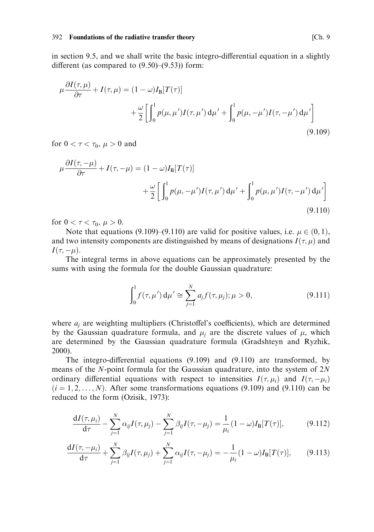in section 9.5, and we shall write the basic integro-differential equation in a slightly different (as compared to  $(9.50)$ – $(9.53)$ ) form:

$$
\mu \frac{\partial I(\tau, \mu)}{\partial \tau} + I(\tau, \mu) = (1 - \omega)I_{\mathcal{B}}[T(\tau)]
$$
  
 
$$
+ \frac{\omega}{2} \left[ \int_0^1 p(\mu, \mu') I(\tau, \mu') d\mu' + \int_0^1 p(\mu, -\mu') I(\tau, -\mu') d\mu' \right]
$$
(9.109)

for  $0 < \tau < \tau_0$ ,  $\mu > 0$  and

$$
\mu \frac{\partial I(\tau, -\mu)}{\partial \tau} + I(\tau, -\mu) = (1 - \omega)I_{\mathcal{B}}[T(\tau)]
$$

$$
+ \frac{\omega}{2} \left[ \int_0^1 p(\mu, -\mu')I(\tau, \mu') d\mu' + \int_0^1 p(\mu, \mu')I(\tau, -\mu') d\mu' \right]
$$
(9.110)

for  $0 < \tau < \tau_0$ ,  $\mu > 0$ .

Note that equations (9.109)–(9.110) are valid for positive values, i.e.  $\mu \in (0,1)$ , and two intensity components are distinguished by means of designations  $I(\tau,\mu)$  and  $I(\tau,-\mu).$ 

The integral terms in above equations can be approximately presented by the sums with using the formula for the double Gaussian quadrature:

$$
\int_0^1 f(\tau, \mu') d\mu' \cong \sum_{j=1}^N a_j f(\tau, \mu_j); \mu > 0,
$$
\n(9.111)

where  $a_i$  are weighting multipliers (Christoffel's coefficients), which are determined by the Gaussian quadrature formula, and  $\mu_i$  are the discrete values of  $\mu$ , which are determined by the Gaussian quadrature formula (Gradshteyn and Ryzhik,  $2000$ ).

The integro-differential equations  $(9.109)$  and  $(9.110)$  are transformed, by means of the  $N$ -point formula for the Gaussian quadrature, into the system of  $2N$ ordinary differential equations with respect to intensities  $I(\tau, \mu_i)$  and  $I(\tau, -\mu_i)$  $(i = 1, 2, \ldots, N)$ . After some transformations equations (9.109) and (9.110) can be reduced to the form (Ozisik, 1973):

$$
\frac{dI(\tau,\mu_i)}{d\tau} - \sum_{j=1}^{N} \alpha_{ij} I(\tau,\mu_j) - \sum_{j=1}^{N} \beta_{ij} I(\tau,-\mu_j) = \frac{1}{\mu_i} (1-\omega) I_B[T(\tau)],\tag{9.112}
$$

$$
\frac{dI(\tau, -\mu_i)}{d\tau} + \sum_{j=1}^{N} \beta_{ij} I(\tau, \mu_j) + \sum_{j=1}^{N} \alpha_{ij} I(\tau, -\mu_j) = -\frac{1}{\mu_i} (1 - \omega) I_B[T(\tau)], \qquad (9.113)
$$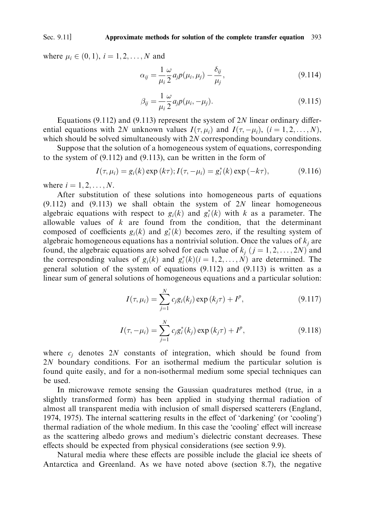#### Sec. 9.11] Approximate methods for solution of the complete transfer equation 393

where  $\mu_i \in (0, 1)$ ,  $i = 1, 2, ..., N$  and

$$
\alpha_{ij} = \frac{1}{\mu_i} \frac{\omega}{2} a_j p(\mu_i, \mu_j) - \frac{\delta_{ij}}{\mu_j},\tag{9.114}
$$

$$
\beta_{ij} = \frac{1}{\mu_i} \frac{\omega}{2} a_j p(\mu_i, -\mu_j).
$$
\n(9.115)

Equations (9.112) and (9.113) represent the system of  $2N$  linear ordinary differential equations with 2N unknown values  $I(\tau, \mu_i)$  and  $I(\tau, -\mu_i)$ ,  $(i = 1, 2, ..., N)$ , which should be solved simultaneously with  $2N$  corresponding boundary conditions.

Suppose that the solution of a homogeneous system of equations, corresponding to the system of  $(9.112)$  and  $(9.113)$ , can be written in the form of

$$
I(\tau, \mu_i) = g_i(k) \exp(k\tau); I(\tau, -\mu_i) = g_i^*(k) \exp(-k\tau), \tag{9.116}
$$

where  $i = 1, 2, \ldots, N$ .

After substitution of these solutions into homogeneous parts of equations  $(9.112)$  and  $(9.113)$  we shall obtain the system of 2N linear homogeneous algebraic equations with respect to  $g_i(k)$  and  $g_i^*(k)$  with k as a parameter. The allowable values of  $k$  are found from the condition, that the determinant composed of coefficients  $g_i(k)$  and  $g_i^*(k)$  becomes zero, if the resulting system of algebraic homogeneous equations has a nontrivial solution. Once the values of  $k_i$  are found, the algebraic equations are solved for each value of  $k_i$   $(j = 1, 2, ..., 2N)$  and the corresponding values of  $g_i(k)$  and  $g_i^*(k)(i = 1, 2, ..., N)$  are determined. The general solution of the system of equations (9.112) and (9.113) is written as a linear sum of general solutions of homogeneous equations and a particular solution:

$$
I(\tau, \mu_i) = \sum_{j=1}^{N} c_j g_i(k_j) \exp(k_j \tau) + I^p,
$$
\n(9.117)

$$
I(\tau, -\mu_i) = \sum_{j=1}^{N} c_j g_i^*(k_j) \exp(k_j \tau) + I^p,
$$
\n(9.118)

where  $c_i$  denotes 2N constants of integration, which should be found from 2N boundary conditions. For an isothermal medium the particular solution is found quite easily, and for a non-isothermal medium some special techniques can be used.

In microwave remote sensing the Gaussian quadratures method (true, in a slightly transformed form) has been applied in studying thermal radiation of almost all transparent media with inclusion of small dispersed scatterers (England, 1974, 1975). The internal scattering results in the effect of 'darkening' (or 'cooling') thermal radiation of the whole medium. In this case the 'cooling' effect will increase as the scattering albedo grows and medium's dielectric constant decreases. These effects should be expected from physical considerations (see section 9.9).

Natural media where these effects are possible include the glacial ice sheets of Antarctica and Greenland. As we have noted above (section 8.7), the negative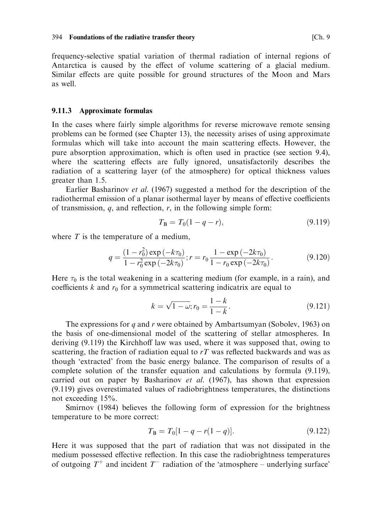frequency-selective spatial variation of thermal radiation of internal regions of Antarctica is caused by the effect of volume scattering of a glacial medium. Similar effects are quite possible for ground structures of the Moon and Mars as well

### 9.11.3 Approximate formulas

In the cases where fairly simple algorithms for reverse microwave remote sensing problems can be formed (see Chapter 13), the necessity arises of using approximate formulas which will take into account the main scattering effects. However, the pure absorption approximation, which is often used in practice (see section 9.4), where the scattering effects are fully ignored, unsatisfactorily describes the radiation of a scattering layer (of the atmosphere) for optical thickness values greater than 1.5.

Earlier Basharinov et al. (1967) suggested a method for the description of the radiothermal emission of a planar isothermal layer by means of effective coefficients of transmission,  $q$ , and reflection,  $r$ , in the following simple form:

$$
T_{\rm B} = T_0(1 - q - r),\tag{9.119}
$$

where  $T$  is the temperature of a medium,

$$
q = \frac{(1 - r_0^2) \exp(-k\tau_0)}{1 - r_0^2 \exp(-2k\tau_0)}; r = r_0 \frac{1 - \exp(-2k\tau_0)}{1 - r_0 \exp(-2k\tau_0)}.
$$
(9.120)

Here  $\tau_0$  is the total weakening in a scattering medium (for example, in a rain), and coefficients  $k$  and  $r_0$  for a symmetrical scattering indicatrix are equal to

$$
k = \sqrt{1 - \omega}; r_0 = \frac{1 - k}{1 - k}.
$$
\n(9.121)

The expressions for  $q$  and  $r$  were obtained by Ambartsumyan (Sobolev, 1963) on the basis of one-dimensional model of the scattering of stellar atmospheres. In deriving (9.119) the Kirchhoff law was used, where it was supposed that, owing to scattering, the fraction of radiation equal to  $rT$  was reflected backwards and was as though 'extracted' from the basic energy balance. The comparison of results of a complete solution of the transfer equation and calculations by formula (9.119), carried out on paper by Basharinov et al. (1967), has shown that expression (9.119) gives overestimated values of radiobrightness temperatures, the distinctions not exceeding  $15%$ .

Smirnov (1984) believes the following form of expression for the brightness temperature to be more correct:

$$
T_{\rm B} = T_0[1 - q - r(1 - q)]. \tag{9.122}
$$

Here it was supposed that the part of radiation that was not dissipated in the medium possessed effective reflection. In this case the radiobrightness temperatures of outgoing  $T^+$  and incident  $T^-$  radiation of the 'atmosphere – underlying surface'